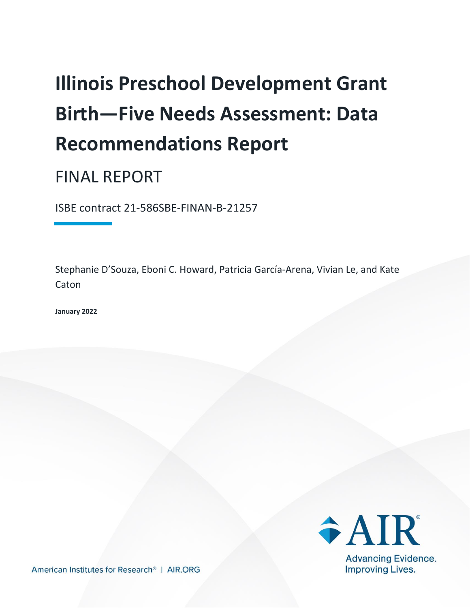# **Illinois Preschool Development Grant Birth—Five Needs Assessment: Data Recommendations Report**

## FINAL REPORT

ISBE contract 21-586SBE-FINAN-B-21257

Stephanie D'Souza, Eboni C. Howard, Patricia García-Arena, Vivian Le, and Kate Caton

**January 2022**



American Institutes for Research® | AIR.ORG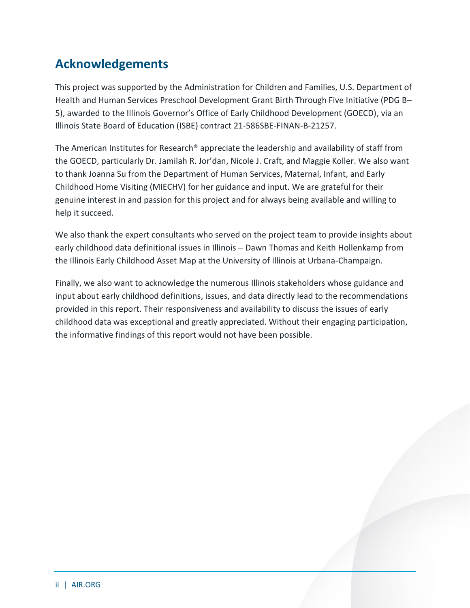### **Acknowledgements**

This project was supported by the Administration for Children and Families, U.S. Department of Health and Human Services Preschool Development Grant Birth Through Five Initiative (PDG B– 5), awarded to the Illinois Governor's Office of Early Childhood Development (GOECD), via an Illinois State Board of Education (ISBE) contract 21-586SBE-FINAN-B-21257.

The American Institutes for Research® appreciate the leadership and availability of staff from the GOECD, particularly Dr. Jamilah R. Jor'dan, Nicole J. Craft, and Maggie Koller. We also want to thank Joanna Su from the Department of Human Services, Maternal, Infant, and Early Childhood Home Visiting (MIECHV) for her guidance and input. We are grateful for their genuine interest in and passion for this project and for always being available and willing to help it succeed.

We also thank the expert consultants who served on the project team to provide insights about early childhood data definitional issues in Illinois – Dawn Thomas and Keith Hollenkamp from the Illinois Early Childhood Asset Map at the University of Illinois at Urbana-Champaign.

Finally, we also want to acknowledge the numerous Illinois stakeholders whose guidance and input about early childhood definitions, issues, and data directly lead to the recommendations provided in this report. Their responsiveness and availability to discuss the issues of early childhood data was exceptional and greatly appreciated. Without their engaging participation, the informative findings of this report would not have been possible.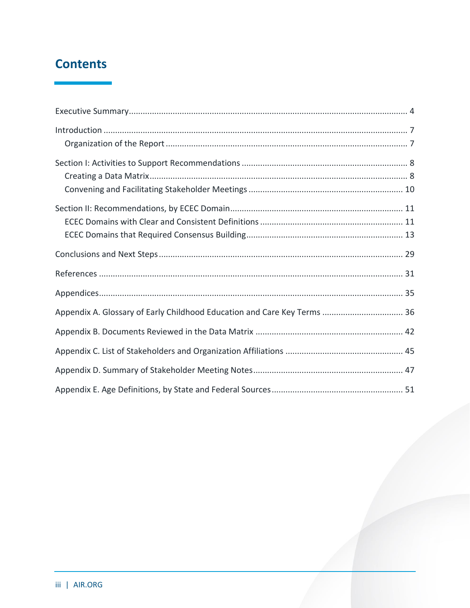### **Contents**

| Appendix A. Glossary of Early Childhood Education and Care Key Terms  36 |
|--------------------------------------------------------------------------|
|                                                                          |
|                                                                          |
|                                                                          |
|                                                                          |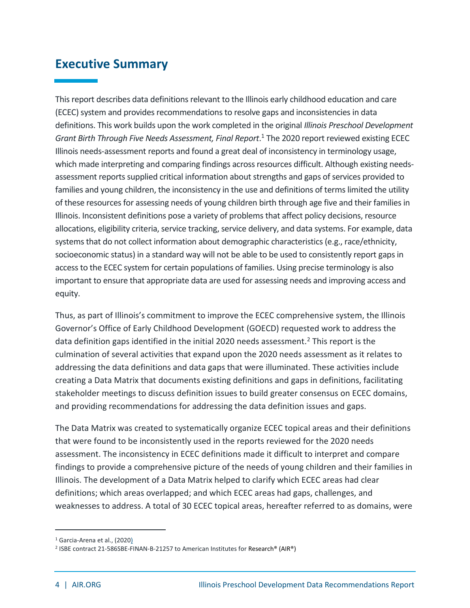### <span id="page-4-0"></span>**Executive Summary**

This report describes data definitions relevant to the Illinois early childhood education and care (ECEC) system and provides recommendations to resolve gaps and inconsistencies in data definitions. This work builds upon the work completed in the original *Illinois Preschool Development Grant Birth Through Five Needs Assessment, Final Report*. <sup>1</sup> The 2020 report reviewed existing ECEC Illinois needs-assessment reports and found a great deal of inconsistency in terminology usage, which made interpreting and comparing findings across resources difficult. Although existing needsassessment reports supplied critical information about strengths and gaps of services provided to families and young children, the inconsistency in the use and definitions of terms limited the utility of these resources for assessing needs of young children birth through age five and their families in Illinois. Inconsistent definitions pose a variety of problems that affect policy decisions, resource allocations, eligibility criteria, service tracking, service delivery, and data systems. For example, data systems that do not collect information about demographic characteristics (e.g., race/ethnicity, socioeconomic status) in a standard way will not be able to be used to consistently report gaps in access to the ECEC system for certain populations of families. Using precise terminology is also important to ensure that appropriate data are used for assessing needs and improving access and equity.

Thus, as part of Illinois's commitment to improve the ECEC comprehensive system, the Illinois Governor's Office of Early Childhood Development (GOECD) requested work to address the data definition gaps identified in the initial 2020 needs assessment.<sup>2</sup> This report is the culmination of several activities that expand upon the 2020 needs assessment as it relates to addressing the data definitions and data gaps that were illuminated. These activities include creating a Data Matrix that documents existing definitions and gaps in definitions, facilitating stakeholder meetings to discuss definition issues to build greater consensus on ECEC domains, and providing recommendations for addressing the data definition issues and gaps.

The Data Matrix was created to systematically organize ECEC topical areas and their definitions that were found to be inconsistently used in the reports reviewed for the 2020 needs assessment. The inconsistency in ECEC definitions made it difficult to interpret and compare findings to provide a comprehensive picture of the needs of young children and their families in Illinois. The development of a Data Matrix helped to clarify which ECEC areas had clear definitions; which areas overlapped; and which ECEC areas had gaps, challenges, and weaknesses to address. A total of 30 ECEC topical areas, hereafter referred to as domains, were

<sup>&</sup>lt;sup>1</sup> Garcia-Arena et al., (2020)

<sup>2</sup> ISBE contract 21-586SBE-FINAN-B-21257 to American Institutes for Research® (AIR®)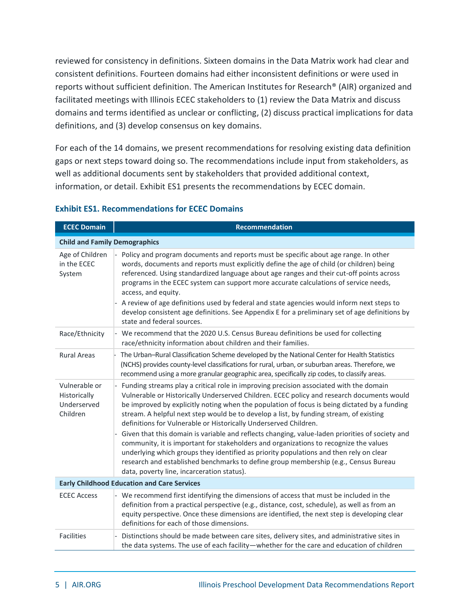reviewed for consistency in definitions. Sixteen domains in the Data Matrix work had clear and consistent definitions. Fourteen domains had either inconsistent definitions or were used in reports without sufficient definition. The American Institutes for Research® (AIR) organized and facilitated meetings with Illinois ECEC stakeholders to (1) review the Data Matrix and discuss domains and terms identified as unclear or conflicting, (2) discuss practical implications for data definitions, and (3) develop consensus on key domains.

For each of the 14 domains, we present recommendations for resolving existing data definition gaps or next steps toward doing so. The recommendations include input from stakeholders, as well as additional documents sent by stakeholders that provided additional context, information, or detail. Exhibit ES1 presents the recommendations by ECEC domain.

| <b>ECEC Domain</b>                                       | <b>Recommendation</b>                                                                                                                                                                                                                                                                                                                                                                                                                                                                                                                                                                                                     |
|----------------------------------------------------------|---------------------------------------------------------------------------------------------------------------------------------------------------------------------------------------------------------------------------------------------------------------------------------------------------------------------------------------------------------------------------------------------------------------------------------------------------------------------------------------------------------------------------------------------------------------------------------------------------------------------------|
| <b>Child and Family Demographics</b>                     |                                                                                                                                                                                                                                                                                                                                                                                                                                                                                                                                                                                                                           |
| Age of Children<br>in the ECEC<br>System                 | Policy and program documents and reports must be specific about age range. In other<br>words, documents and reports must explicitly define the age of child (or children) being<br>referenced. Using standardized language about age ranges and their cut-off points across<br>programs in the ECEC system can support more accurate calculations of service needs,<br>access, and equity.<br>- A review of age definitions used by federal and state agencies would inform next steps to<br>develop consistent age definitions. See Appendix E for a preliminary set of age definitions by<br>state and federal sources. |
| Race/Ethnicity                                           | - We recommend that the 2020 U.S. Census Bureau definitions be used for collecting<br>race/ethnicity information about children and their families.                                                                                                                                                                                                                                                                                                                                                                                                                                                                       |
| <b>Rural Areas</b>                                       | The Urban-Rural Classification Scheme developed by the National Center for Health Statistics<br>(NCHS) provides county-level classifications for rural, urban, or suburban areas. Therefore, we<br>recommend using a more granular geographic area, specifically zip codes, to classify areas.                                                                                                                                                                                                                                                                                                                            |
| Vulnerable or<br>Historically<br>Underserved<br>Children | - Funding streams play a critical role in improving precision associated with the domain<br>Vulnerable or Historically Underserved Children. ECEC policy and research documents would<br>be improved by explicitly noting when the population of focus is being dictated by a funding<br>stream. A helpful next step would be to develop a list, by funding stream, of existing<br>definitions for Vulnerable or Historically Underserved Children.                                                                                                                                                                       |
|                                                          | Given that this domain is variable and reflects changing, value-laden priorities of society and<br>community, it is important for stakeholders and organizations to recognize the values<br>underlying which groups they identified as priority populations and then rely on clear<br>research and established benchmarks to define group membership (e.g., Census Bureau<br>data, poverty line, incarceration status).                                                                                                                                                                                                   |
| <b>Early Childhood Education and Care Services</b>       |                                                                                                                                                                                                                                                                                                                                                                                                                                                                                                                                                                                                                           |
| <b>ECEC Access</b>                                       | - We recommend first identifying the dimensions of access that must be included in the<br>definition from a practical perspective (e.g., distance, cost, schedule), as well as from an<br>equity perspective. Once these dimensions are identified, the next step is developing clear<br>definitions for each of those dimensions.                                                                                                                                                                                                                                                                                        |
| <b>Facilities</b>                                        | Distinctions should be made between care sites, delivery sites, and administrative sites in<br>the data systems. The use of each facility-whether for the care and education of children                                                                                                                                                                                                                                                                                                                                                                                                                                  |

#### **Exhibit ES1. Recommendations for ECEC Domains**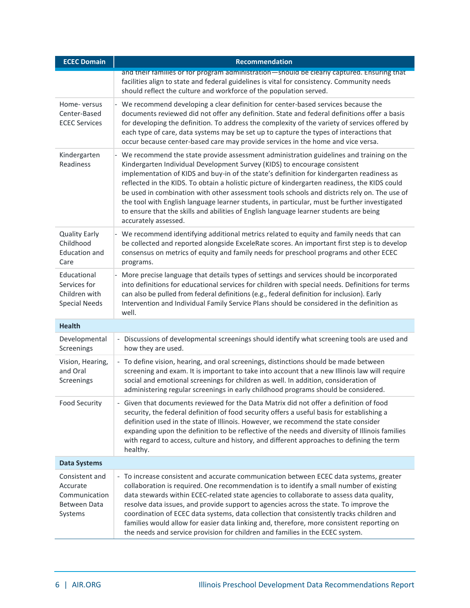| <b>ECEC Domain</b>                                                     | Recommendation                                                                                                                                                                                                                                                                                                                                                                                                                                                                                                                                                                                                                                                                         |
|------------------------------------------------------------------------|----------------------------------------------------------------------------------------------------------------------------------------------------------------------------------------------------------------------------------------------------------------------------------------------------------------------------------------------------------------------------------------------------------------------------------------------------------------------------------------------------------------------------------------------------------------------------------------------------------------------------------------------------------------------------------------|
|                                                                        | and their families or for program administration—should be clearly captured. Ensuring that<br>facilities align to state and federal guidelines is vital for consistency. Community needs<br>should reflect the culture and workforce of the population served.                                                                                                                                                                                                                                                                                                                                                                                                                         |
| Home-versus<br>Center-Based<br><b>ECEC Services</b>                    | - We recommend developing a clear definition for center-based services because the<br>documents reviewed did not offer any definition. State and federal definitions offer a basis<br>for developing the definition. To address the complexity of the variety of services offered by<br>each type of care, data systems may be set up to capture the types of interactions that<br>occur because center-based care may provide services in the home and vice versa.                                                                                                                                                                                                                    |
| Kindergarten<br>Readiness                                              | - We recommend the state provide assessment administration guidelines and training on the<br>Kindergarten Individual Development Survey (KIDS) to encourage consistent<br>implementation of KIDS and buy-in of the state's definition for kindergarten readiness as<br>reflected in the KIDS. To obtain a holistic picture of kindergarten readiness, the KIDS could<br>be used in combination with other assessment tools schools and districts rely on. The use of<br>the tool with English language learner students, in particular, must be further investigated<br>to ensure that the skills and abilities of English language learner students are being<br>accurately assessed. |
| <b>Quality Early</b><br>Childhood<br><b>Education and</b><br>Care      | - We recommend identifying additional metrics related to equity and family needs that can<br>be collected and reported alongside ExceleRate scores. An important first step is to develop<br>consensus on metrics of equity and family needs for preschool programs and other ECEC<br>programs.                                                                                                                                                                                                                                                                                                                                                                                        |
| Educational<br>Services for<br>Children with<br><b>Special Needs</b>   | More precise language that details types of settings and services should be incorporated<br>into definitions for educational services for children with special needs. Definitions for terms<br>can also be pulled from federal definitions (e.g., federal definition for inclusion). Early<br>Intervention and Individual Family Service Plans should be considered in the definition as<br>well.                                                                                                                                                                                                                                                                                     |
| <b>Health</b>                                                          |                                                                                                                                                                                                                                                                                                                                                                                                                                                                                                                                                                                                                                                                                        |
| Developmental<br>Screenings                                            | Discussions of developmental screenings should identify what screening tools are used and<br>how they are used.                                                                                                                                                                                                                                                                                                                                                                                                                                                                                                                                                                        |
| Vision, Hearing,<br>and Oral<br>Screenings                             | - To define vision, hearing, and oral screenings, distinctions should be made between<br>screening and exam. It is important to take into account that a new Illinois law will require<br>social and emotional screenings for children as well. In addition, consideration of<br>administering regular screenings in early childhood programs should be considered.                                                                                                                                                                                                                                                                                                                    |
| <b>Food Security</b>                                                   | - Given that documents reviewed for the Data Matrix did not offer a definition of food<br>security, the federal definition of food security offers a useful basis for establishing a<br>definition used in the state of Illinois. However, we recommend the state consider<br>expanding upon the definition to be reflective of the needs and diversity of Illinois families<br>with regard to access, culture and history, and different approaches to defining the term<br>healthy.                                                                                                                                                                                                  |
| <b>Data Systems</b>                                                    |                                                                                                                                                                                                                                                                                                                                                                                                                                                                                                                                                                                                                                                                                        |
| Consistent and<br>Accurate<br>Communication<br>Between Data<br>Systems | - To increase consistent and accurate communication between ECEC data systems, greater<br>collaboration is required. One recommendation is to identify a small number of existing<br>data stewards within ECEC-related state agencies to collaborate to assess data quality,<br>resolve data issues, and provide support to agencies across the state. To improve the<br>coordination of ECEC data systems, data collection that consistently tracks children and<br>families would allow for easier data linking and, therefore, more consistent reporting on<br>the needs and service provision for children and families in the ECEC system.                                        |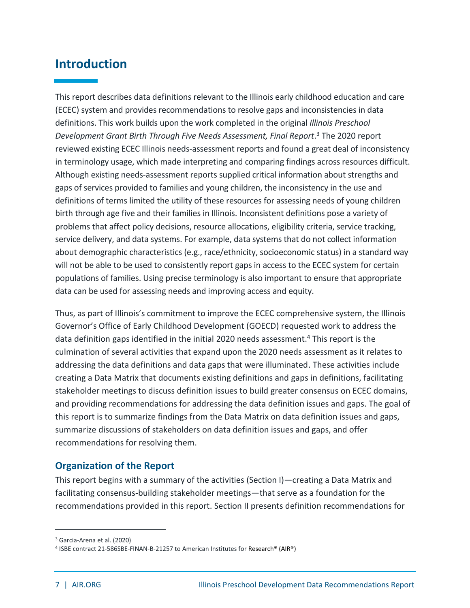### <span id="page-7-0"></span>**Introduction**

This report describes data definitions relevant to the Illinois early childhood education and care (ECEC) system and provides recommendations to resolve gaps and inconsistencies in data definitions. This work builds upon the work completed in the original *Illinois Preschool Development Grant Birth Through Five Needs Assessment, Final Report*. <sup>3</sup> The 2020 report reviewed existing ECEC Illinois needs-assessment reports and found a great deal of inconsistency in terminology usage, which made interpreting and comparing findings across resources difficult. Although existing needs-assessment reports supplied critical information about strengths and gaps of services provided to families and young children, the inconsistency in the use and definitions of terms limited the utility of these resources for assessing needs of young children birth through age five and their families in Illinois. Inconsistent definitions pose a variety of problems that affect policy decisions, resource allocations, eligibility criteria, service tracking, service delivery, and data systems. For example, data systems that do not collect information about demographic characteristics (e.g., race/ethnicity, socioeconomic status) in a standard way will not be able to be used to consistently report gaps in access to the ECEC system for certain populations of families. Using precise terminology is also important to ensure that appropriate data can be used for assessing needs and improving access and equity.

Thus, as part of Illinois's commitment to improve the ECEC comprehensive system, the Illinois Governor's Office of Early Childhood Development (GOECD) requested work to address the data definition gaps identified in the initial 2020 needs assessment.<sup>4</sup> This report is the culmination of several activities that expand upon the 2020 needs assessment as it relates to addressing the data definitions and data gaps that were illuminated. These activities include creating a Data Matrix that documents existing definitions and gaps in definitions, facilitating stakeholder meetings to discuss definition issues to build greater consensus on ECEC domains, and providing recommendations for addressing the data definition issues and gaps. The goal of this report is to summarize findings from the Data Matrix on data definition issues and gaps, summarize discussions of stakeholders on data definition issues and gaps, and offer recommendations for resolving them.

#### <span id="page-7-1"></span>**Organization of the Report**

This report begins with a summary of the activities (Section I)—creating a Data Matrix and facilitating consensus-building stakeholder meetings—that serve as a foundation for the recommendations provided in this report. Section II presents definition recommendations for

<sup>3</sup> Garcia-Arena et al. (2020)

<sup>4</sup> ISBE contract 21-586SBE-FINAN-B-21257 to American Institutes for Research® (AIR®)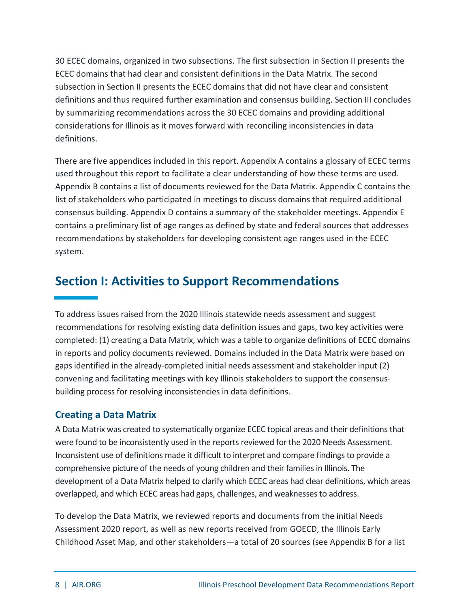30 ECEC domains, organized in two subsections. The first subsection in Section II presents the ECEC domains that had clear and consistent definitions in the Data Matrix. The second subsection in Section II presents the ECEC domains that did not have clear and consistent definitions and thus required further examination and consensus building. Section III concludes by summarizing recommendations across the 30 ECEC domains and providing additional considerations for Illinois as it moves forward with reconciling inconsistencies in data definitions.

There are five appendices included in this report. Appendix A contains a glossary of ECEC terms used throughout this report to facilitate a clear understanding of how these terms are used. Appendix B contains a list of documents reviewed for the Data Matrix. Appendix C contains the list of stakeholders who participated in meetings to discuss domains that required additional consensus building. Appendix D contains a summary of the stakeholder meetings. Appendix E contains a preliminary list of age ranges as defined by state and federal sources that addresses recommendations by stakeholders for developing consistent age ranges used in the ECEC system.

### <span id="page-8-0"></span>**Section I: Activities to Support Recommendations**

To address issues raised from the 2020 Illinois statewide needs assessment and suggest recommendations for resolving existing data definition issues and gaps, two key activities were completed: (1) creating a Data Matrix, which was a table to organize definitions of ECEC domains in reports and policy documents reviewed. Domains included in the Data Matrix were based on gaps identified in the already-completed initial needs assessment and stakeholder input (2) convening and facilitating meetings with key Illinois stakeholders to support the consensusbuilding process for resolving inconsistencies in data definitions.

#### <span id="page-8-1"></span>**Creating a Data Matrix**

A Data Matrix was created to systematically organize ECEC topical areas and their definitionsthat were found to be inconsistently used in the reports reviewed for the 2020 Needs Assessment. Inconsistent use of definitions made it difficult to interpret and compare findings to provide a comprehensive picture of the needs of young children and their families in Illinois. The development of a Data Matrix helped to clarify which ECEC areas had clear definitions, which areas overlapped, and which ECEC areas had gaps, challenges, and weaknesses to address.

To develop the Data Matrix, we reviewed reports and documents from the initial Needs Assessment 2020 report, as well as new reports received from GOECD, the Illinois Early Childhood Asset Map, and other stakeholders—a total of 20 sources (see Appendix B for a list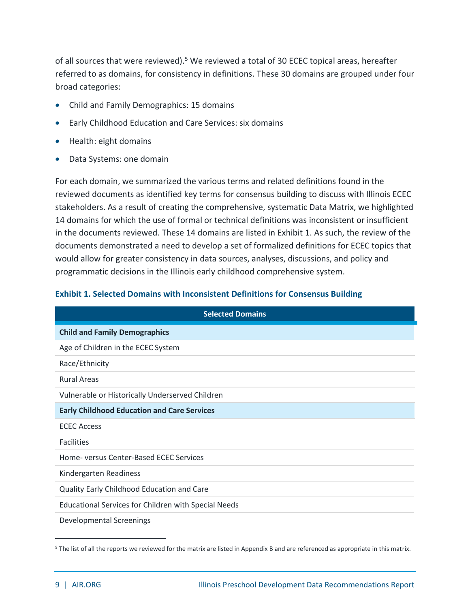of all sources that were reviewed).<sup>5</sup> We reviewed a total of 30 ECEC topical areas, hereafter referred to as domains, for consistency in definitions. These 30 domains are grouped under four broad categories:

- Child and Family Demographics: 15 domains
- Early Childhood Education and Care Services: six domains
- Health: eight domains
- Data Systems: one domain

For each domain, we summarized the various terms and related definitions found in the reviewed documents as identified key terms for consensus building to discuss with Illinois ECEC stakeholders. As a result of creating the comprehensive, systematic Data Matrix, we highlighted 14 domains for which the use of formal or technical definitions was inconsistent or insufficient in the documents reviewed. These 14 domains are listed in Exhibit 1. As such, the review of the documents demonstrated a need to develop a set of formalized definitions for ECEC topics that would allow for greater consistency in data sources, analyses, discussions, and policy and programmatic decisions in the Illinois early childhood comprehensive system.

| <b>Exhibit 1. Selected Domains with Inconsistent Definitions for Consensus Building</b> |  |
|-----------------------------------------------------------------------------------------|--|
|-----------------------------------------------------------------------------------------|--|

| <b>Selected Domains</b>                                     |
|-------------------------------------------------------------|
| <b>Child and Family Demographics</b>                        |
| Age of Children in the ECEC System                          |
| Race/Ethnicity                                              |
| <b>Rural Areas</b>                                          |
| Vulnerable or Historically Underserved Children             |
| <b>Early Childhood Education and Care Services</b>          |
| <b>ECEC Access</b>                                          |
| <b>Facilities</b>                                           |
| Home- versus Center-Based ECEC Services                     |
| Kindergarten Readiness                                      |
| Quality Early Childhood Education and Care                  |
| <b>Educational Services for Children with Special Needs</b> |
| <b>Developmental Screenings</b>                             |

<sup>5</sup> The list of all the reports we reviewed for the matrix are listed in Appendix B and are referenced as appropriate in this matrix.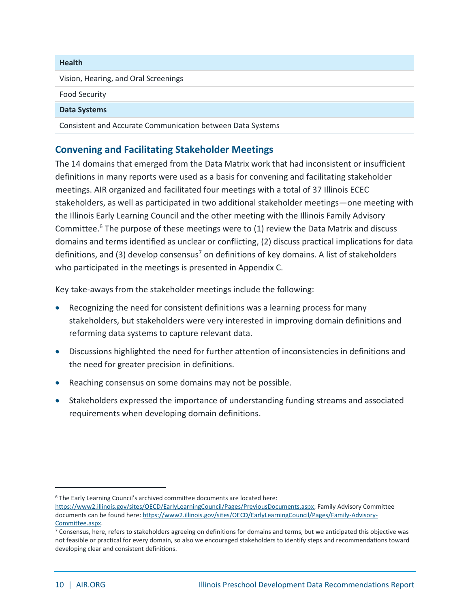| <b>Health</b>                                              |
|------------------------------------------------------------|
| Vision, Hearing, and Oral Screenings                       |
| <b>Food Security</b>                                       |
| <b>Data Systems</b>                                        |
| Consistent and Accurate Communication between Data Systems |

#### <span id="page-10-0"></span>**Convening and Facilitating Stakeholder Meetings**

The 14 domains that emerged from the Data Matrix work that had inconsistent or insufficient definitions in many reports were used as a basis for convening and facilitating stakeholder meetings. AIR organized and facilitated four meetings with a total of 37 Illinois ECEC stakeholders, as well as participated in two additional stakeholder meetings—one meeting with the Illinois Early Learning Council and the other meeting with the Illinois Family Advisory Committee. <sup>6</sup> The purpose of these meetings were to (1) review the Data Matrix and discuss domains and terms identified as unclear or conflicting, (2) discuss practical implications for data definitions, and (3) develop consensus<sup>7</sup> on definitions of key domains. A list of stakeholders who participated in the meetings is presented in Appendix C.

Key take-aways from the stakeholder meetings include the following:

- Recognizing the need for consistent definitions was a learning process for many stakeholders, but stakeholders were very interested in improving domain definitions and reforming data systems to capture relevant data.
- Discussions highlighted the need for further attention of inconsistencies in definitions and the need for greater precision in definitions.
- Reaching consensus on some domains may not be possible.
- Stakeholders expressed the importance of understanding funding streams and associated requirements when developing domain definitions.

<sup>6</sup> The Early Learning Council's archived committee documents are located here:

[https://www2.illinois.gov/sites/OECD/EarlyLearningCouncil/Pages/PreviousDocuments.aspx;](https://www2.illinois.gov/sites/OECD/EarlyLearningCouncil/Pages/PreviousDocuments.aspx) Family Advisory Committee documents can be found here: [https://www2.illinois.gov/sites/OECD/EarlyLearningCouncil/Pages/Family-Advisory-](https://www2.illinois.gov/sites/OECD/EarlyLearningCouncil/Pages/Family-Advisory-Committee.aspx)[Committee.aspx.](https://www2.illinois.gov/sites/OECD/EarlyLearningCouncil/Pages/Family-Advisory-Committee.aspx)

<sup>7</sup> Consensus, here, refers to stakeholders agreeing on definitions for domains and terms, but we anticipated this objective was not feasible or practical for every domain, so also we encouraged stakeholders to identify steps and recommendations toward developing clear and consistent definitions.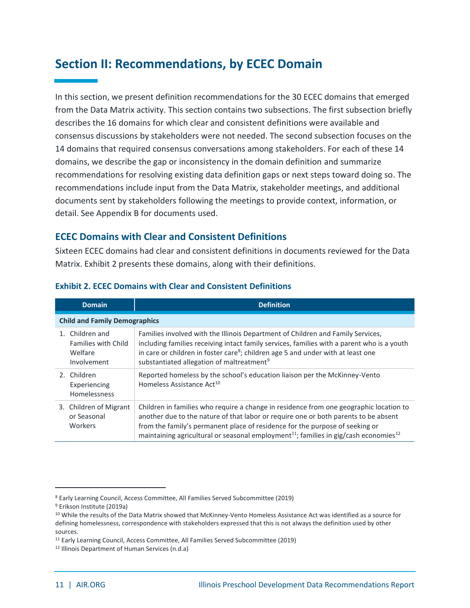### <span id="page-11-0"></span>**Section II: Recommendations, by ECEC Domain**

In this section, we present definition recommendations for the 30 ECEC domains that emerged from the Data Matrix activity. This section contains two subsections. The first subsection briefly describes the 16 domains for which clear and consistent definitions were available and consensus discussions by stakeholders were not needed. The second subsection focuses on the 14 domains that required consensus conversations among stakeholders. For each of these 14 domains, we describe the gap or inconsistency in the domain definition and summarize recommendations for resolving existing data definition gaps or next steps toward doing so. The recommendations include input from the Data Matrix, stakeholder meetings, and additional documents sent by stakeholders following the meetings to provide context, information, or detail. See Appendix B for documents used.

#### <span id="page-11-1"></span>**ECEC Domains with Clear and Consistent Definitions**

Sixteen ECEC domains had clear and consistent definitions in documents reviewed for the Data Matrix. Exhibit 2 presents these domains, along with their definitions.

| <b>Domain</b>                                                           | <b>Definition</b>                                                                                                                                                                                                                                                                                                                                                             |
|-------------------------------------------------------------------------|-------------------------------------------------------------------------------------------------------------------------------------------------------------------------------------------------------------------------------------------------------------------------------------------------------------------------------------------------------------------------------|
| <b>Child and Family Demographics</b>                                    |                                                                                                                                                                                                                                                                                                                                                                               |
| 1. Children and<br><b>Families with Child</b><br>Welfare<br>Involvement | Families involved with the Illinois Department of Children and Family Services,<br>including families receiving intact family services, families with a parent who is a youth<br>in care or children in foster care <sup>8</sup> ; children age 5 and under with at least one<br>substantiated allegation of maltreatment <sup>9</sup>                                        |
| 2. Children<br>Experiencing<br>Homelessness                             | Reported homeless by the school's education liaison per the McKinney-Vento<br>Homeless Assistance Act <sup>10</sup>                                                                                                                                                                                                                                                           |
| 3. Children of Migrant<br>or Seasonal<br>Workers                        | Children in families who require a change in residence from one geographic location to<br>another due to the nature of that labor or require one or both parents to be absent<br>from the family's permanent place of residence for the purpose of seeking or<br>maintaining agricultural or seasonal employment <sup>11</sup> ; families in gig/cash economies <sup>12</sup> |

#### **Exhibit 2. ECEC Domains with Clear and Consistent Definitions**

<sup>8</sup> Early Learning Council, Access Committee, All Families Served Subcommittee (2019)

<sup>9</sup> Erikson Institute (2019a)

<sup>&</sup>lt;sup>10</sup> While the results of the Data Matrix showed that McKinney-Vento Homeless Assistance Act was identified as a source for defining homelessness, correspondence with stakeholders expressed that this is not always the definition used by other sources.

<sup>11</sup> Early Learning Council, Access Committee, All Families Served Subcommittee (2019)

<sup>12</sup> Illinois Department of Human Services (n.d.a)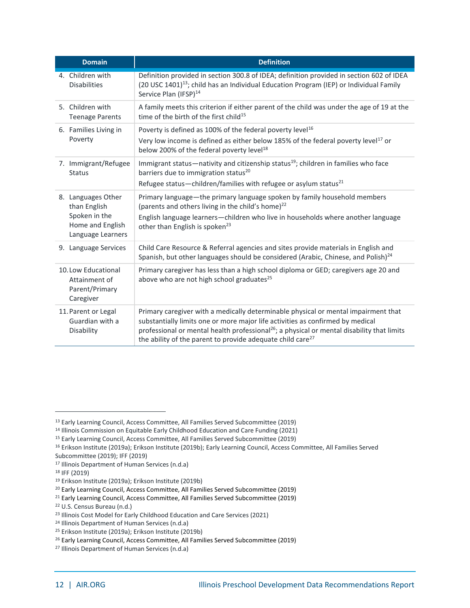| <b>Domain</b>                                                       | <b>Definition</b>                                                                                                                                                                                                                                                                                                                                        |
|---------------------------------------------------------------------|----------------------------------------------------------------------------------------------------------------------------------------------------------------------------------------------------------------------------------------------------------------------------------------------------------------------------------------------------------|
| 4. Children with<br><b>Disabilities</b>                             | Definition provided in section 300.8 of IDEA; definition provided in section 602 of IDEA<br>(20 USC 1401) <sup>13</sup> ; child has an Individual Education Program (IEP) or Individual Family<br>Service Plan (IFSP) <sup>14</sup>                                                                                                                      |
| 5. Children with<br><b>Teenage Parents</b>                          | A family meets this criterion if either parent of the child was under the age of 19 at the<br>time of the birth of the first child <sup>15</sup>                                                                                                                                                                                                         |
| 6. Families Living in                                               | Poverty is defined as 100% of the federal poverty level <sup>16</sup>                                                                                                                                                                                                                                                                                    |
| Poverty                                                             | Very low income is defined as either below 185% of the federal poverty level <sup>17</sup> or<br>below 200% of the federal poverty level <sup>18</sup>                                                                                                                                                                                                   |
| 7. Immigrant/Refugee<br><b>Status</b>                               | Immigrant status—nativity and citizenship status <sup>19</sup> ; children in families who face<br>barriers due to immigration status <sup>20</sup>                                                                                                                                                                                                       |
|                                                                     | Refugee status-children/families with refugee or asylum status <sup>21</sup>                                                                                                                                                                                                                                                                             |
| 8. Languages Other<br>than English                                  | Primary language-the primary language spoken by family household members<br>(parents and others living in the child's home) <sup>22</sup>                                                                                                                                                                                                                |
| Spoken in the<br>Home and English<br>Language Learners              | English language learners-children who live in households where another language<br>other than English is spoken <sup>23</sup>                                                                                                                                                                                                                           |
| 9. Language Services                                                | Child Care Resource & Referral agencies and sites provide materials in English and<br>Spanish, but other languages should be considered (Arabic, Chinese, and Polish) <sup>24</sup>                                                                                                                                                                      |
| 10. Low Educational<br>Attainment of<br>Parent/Primary<br>Caregiver | Primary caregiver has less than a high school diploma or GED; caregivers age 20 and<br>above who are not high school graduates <sup>25</sup>                                                                                                                                                                                                             |
| 11. Parent or Legal<br>Guardian with a<br>Disability                | Primary caregiver with a medically determinable physical or mental impairment that<br>substantially limits one or more major life activities as confirmed by medical<br>professional or mental health professional <sup>26</sup> ; a physical or mental disability that limits<br>the ability of the parent to provide adequate child care <sup>27</sup> |

<sup>13</sup> Early Learning Council, Access Committee, All Families Served Subcommittee (2019)

<sup>14</sup> Illinois Commission on Equitable Early Childhood Education and Care Funding (2021)

<sup>15</sup> Early Learning Council, Access Committee, All Families Served Subcommittee (2019)

<sup>&</sup>lt;sup>16</sup> Erikson Institute (2019a); Erikson Institute (2019b); Early Learning Council, Access Committee, All Families Served

Subcommittee (2019); IFF (2019) <sup>17</sup> Illinois Department of Human Services (n.d.a)

<sup>18</sup> IFF (2019)

<sup>19</sup> Erikson Institute (2019a); Erikson Institute (2019b)

<sup>20</sup> Early Learning Council, Access Committee, All Families Served Subcommittee (2019)

<sup>&</sup>lt;sup>21</sup> Early Learning Council, Access Committee, All Families Served Subcommittee (2019)

<sup>22</sup> U.S. Census Bureau (n.d.)

<sup>&</sup>lt;sup>23</sup> Illinois Cost Model for Early Childhood Education and Care Services (2021)

<sup>24</sup> Illinois Department of Human Services (n.d.a)

<sup>25</sup> Erikson Institute (2019a); Erikson Institute (2019b)

<sup>26</sup> Early Learning Council, Access Committee, All Families Served Subcommittee (2019)

<sup>27</sup> Illinois Department of Human Services (n.d.a)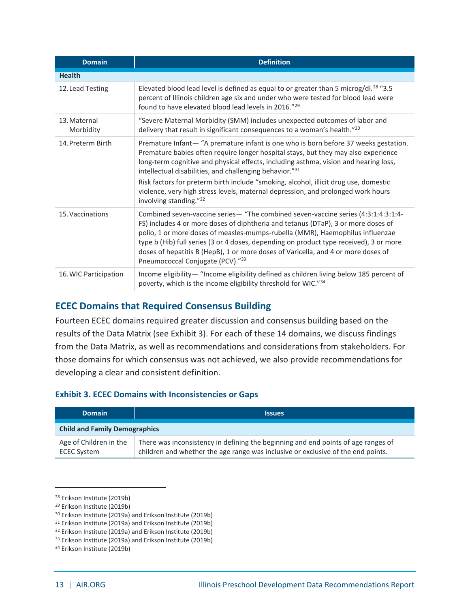| <b>Domain</b>             | <b>Definition</b>                                                                                                                                                                                                                                                                                                                                                                                                                                                                                                                 |  |
|---------------------------|-----------------------------------------------------------------------------------------------------------------------------------------------------------------------------------------------------------------------------------------------------------------------------------------------------------------------------------------------------------------------------------------------------------------------------------------------------------------------------------------------------------------------------------|--|
| <b>Health</b>             |                                                                                                                                                                                                                                                                                                                                                                                                                                                                                                                                   |  |
| 12. Lead Testing          | Elevated blood lead level is defined as equal to or greater than 5 microg/dl. <sup>28</sup> "3.5<br>percent of Illinois children age six and under who were tested for blood lead were<br>found to have elevated blood lead levels in 2016." <sup>29</sup>                                                                                                                                                                                                                                                                        |  |
| 13. Maternal<br>Morbidity | "Severe Maternal Morbidity (SMM) includes unexpected outcomes of labor and<br>delivery that result in significant consequences to a woman's health."30                                                                                                                                                                                                                                                                                                                                                                            |  |
| 14. Preterm Birth         | Premature Infant-'A premature infant is one who is born before 37 weeks gestation.<br>Premature babies often require longer hospital stays, but they may also experience<br>long-term cognitive and physical effects, including asthma, vision and hearing loss,<br>intellectual disabilities, and challenging behavior."31<br>Risk factors for preterm birth include "smoking, alcohol, illicit drug use, domestic<br>violence, very high stress levels, maternal depression, and prolonged work hours<br>involving standing."32 |  |
| 15. Vaccinations          | Combined seven-vaccine series— "The combined seven-vaccine series (4:3:1:4:3:1:4-<br>FS) includes 4 or more doses of diphtheria and tetanus (DTaP), 3 or more doses of<br>polio, 1 or more doses of measles-mumps-rubella (MMR), Haemophilus influenzae<br>type b (Hib) full series (3 or 4 doses, depending on product type received), 3 or more<br>doses of hepatitis B (HepB), 1 or more doses of Varicella, and 4 or more doses of<br>Pneumococcal Conjugate (PCV)."33                                                        |  |
| 16. WIC Participation     | Income eligibility-"Income eligibility defined as children living below 185 percent of<br>poverty, which is the income eligibility threshold for WIC."34                                                                                                                                                                                                                                                                                                                                                                          |  |

#### <span id="page-13-0"></span>**ECEC Domains that Required Consensus Building**

Fourteen ECEC domains required greater discussion and consensus building based on the results of the Data Matrix (see Exhibit 3). For each of these 14 domains, we discuss findings from the Data Matrix, as well as recommendations and considerations from stakeholders. For those domains for which consensus was not achieved, we also provide recommendations for developing a clear and consistent definition.

#### **Exhibit 3. ECEC Domains with Inconsistencies or Gaps**

| <b>Domain</b>                                | <b>Issues</b>                                                                                                                                                         |
|----------------------------------------------|-----------------------------------------------------------------------------------------------------------------------------------------------------------------------|
| <b>Child and Family Demographics</b>         |                                                                                                                                                                       |
| Age of Children in the<br><b>ECEC System</b> | There was inconsistency in defining the beginning and end points of age ranges of<br>children and whether the age range was inclusive or exclusive of the end points. |

<sup>30</sup> Erikson Institute (2019a) and Erikson Institute (2019b)

<sup>28</sup> Erikson Institute (2019b)

<sup>29</sup> Erikson Institute (2019b)

<sup>31</sup> Erikson Institute (2019a) and Erikson Institute (2019b)

<sup>32</sup> Erikson Institute (2019a) and Erikson Institute (2019b)

<sup>33</sup> Erikson Institute (2019a) and Erikson Institute (2019b)

<sup>34</sup> Erikson Institute (2019b)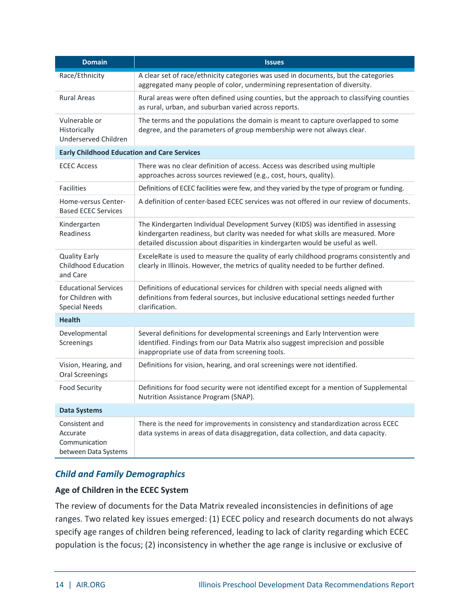| <b>Domain</b>                                                            | <b>Issues</b>                                                                                                                                                                                                                                            |
|--------------------------------------------------------------------------|----------------------------------------------------------------------------------------------------------------------------------------------------------------------------------------------------------------------------------------------------------|
| Race/Ethnicity                                                           | A clear set of race/ethnicity categories was used in documents, but the categories<br>aggregated many people of color, undermining representation of diversity.                                                                                          |
| <b>Rural Areas</b>                                                       | Rural areas were often defined using counties, but the approach to classifying counties<br>as rural, urban, and suburban varied across reports.                                                                                                          |
| Vulnerable or<br>Historically<br>Underserved Children                    | The terms and the populations the domain is meant to capture overlapped to some<br>degree, and the parameters of group membership were not always clear.                                                                                                 |
| <b>Early Childhood Education and Care Services</b>                       |                                                                                                                                                                                                                                                          |
| <b>ECEC Access</b>                                                       | There was no clear definition of access. Access was described using multiple<br>approaches across sources reviewed (e.g., cost, hours, quality).                                                                                                         |
| <b>Facilities</b>                                                        | Definitions of ECEC facilities were few, and they varied by the type of program or funding.                                                                                                                                                              |
| Home-versus Center-<br><b>Based ECEC Services</b>                        | A definition of center-based ECEC services was not offered in our review of documents.                                                                                                                                                                   |
| Kindergarten<br>Readiness                                                | The Kindergarten Individual Development Survey (KIDS) was identified in assessing<br>kindergarten readiness, but clarity was needed for what skills are measured. More<br>detailed discussion about disparities in kindergarten would be useful as well. |
| <b>Quality Early</b><br><b>Childhood Education</b><br>and Care           | ExceleRate is used to measure the quality of early childhood programs consistently and<br>clearly in Illinois. However, the metrics of quality needed to be further defined.                                                                             |
| <b>Educational Services</b><br>for Children with<br><b>Special Needs</b> | Definitions of educational services for children with special needs aligned with<br>definitions from federal sources, but inclusive educational settings needed further<br>clarification.                                                                |
| <b>Health</b>                                                            |                                                                                                                                                                                                                                                          |
| Developmental<br>Screenings                                              | Several definitions for developmental screenings and Early Intervention were<br>identified. Findings from our Data Matrix also suggest imprecision and possible<br>inappropriate use of data from screening tools.                                       |
| Vision, Hearing, and<br><b>Oral Screenings</b>                           | Definitions for vision, hearing, and oral screenings were not identified.                                                                                                                                                                                |
| <b>Food Security</b>                                                     | Definitions for food security were not identified except for a mention of Supplemental<br>Nutrition Assistance Program (SNAP).                                                                                                                           |
| <b>Data Systems</b>                                                      |                                                                                                                                                                                                                                                          |
| Consistent and<br>Accurate<br>Communication<br>between Data Systems      | There is the need for improvements in consistency and standardization across ECEC<br>data systems in areas of data disaggregation, data collection, and data capacity.                                                                                   |

#### *Child and Family Demographics*

#### **Age of Children in the ECEC System**

The review of documents for the Data Matrix revealed inconsistencies in definitions of age ranges. Two related key issues emerged: (1) ECEC policy and research documents do not always specify age ranges of children being referenced, leading to lack of clarity regarding which ECEC population is the focus; (2) inconsistency in whether the age range is inclusive or exclusive of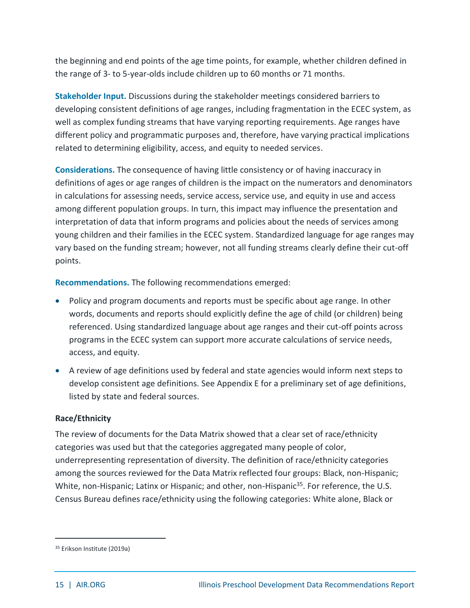the beginning and end points of the age time points, for example, whether children defined in the range of 3- to 5-year-olds include children up to 60 months or 71 months.

**Stakeholder Input.** Discussions during the stakeholder meetings considered barriers to developing consistent definitions of age ranges, including fragmentation in the ECEC system, as well as complex funding streams that have varying reporting requirements. Age ranges have different policy and programmatic purposes and, therefore, have varying practical implications related to determining eligibility, access, and equity to needed services.

**Considerations.** The consequence of having little consistency or of having inaccuracy in definitions of ages or age ranges of children is the impact on the numerators and denominators in calculations for assessing needs, service access, service use, and equity in use and access among different population groups. In turn, this impact may influence the presentation and interpretation of data that inform programs and policies about the needs of services among young children and their families in the ECEC system. Standardized language for age ranges may vary based on the funding stream; however, not all funding streams clearly define their cut-off points.

**Recommendations.** The following recommendations emerged:

- Policy and program documents and reports must be specific about age range. In other words, documents and reports should explicitly define the age of child (or children) being referenced. Using standardized language about age ranges and their cut-off points across programs in the ECEC system can support more accurate calculations of service needs, access, and equity.
- A review of age definitions used by federal and state agencies would inform next steps to develop consistent age definitions. See Appendix E for a preliminary set of age definitions, listed by state and federal sources.

#### **Race/Ethnicity**

The review of documents for the Data Matrix showed that a clear set of race/ethnicity categories was used but that the categories aggregated many people of color, underrepresenting representation of diversity. The definition of race/ethnicity categories among the sources reviewed for the Data Matrix reflected four groups: Black, non-Hispanic; White, non-Hispanic; Latinx or Hispanic; and other, non-Hispanic<sup>35</sup>. For reference, the U.S. Census Bureau defines race/ethnicity using the following categories: White alone, Black or

<sup>35</sup> Erikson Institute (2019a)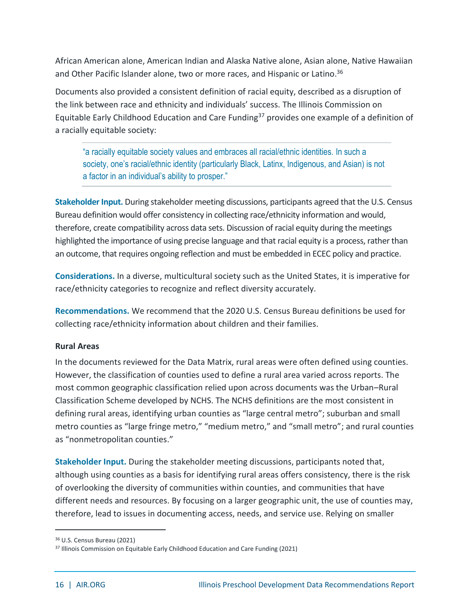African American alone, American Indian and Alaska Native alone, Asian alone, Native Hawaiian and Other Pacific Islander alone, two or more races, and Hispanic or Latino. 36

Documents also provided a consistent definition of racial equity, described as a disruption of the link between race and ethnicity and individuals' success. The Illinois Commission on Equitable Early Childhood Education and Care Funding<sup>37</sup> provides one example of a definition of a racially equitable society:

"a racially equitable society values and embraces all racial/ethnic identities. In such a society, one's racial/ethnic identity (particularly Black, Latinx, Indigenous, and Asian) is not a factor in an individual's ability to prosper."

**Stakeholder Input.** During stakeholder meeting discussions, participants agreed that the U.S. Census Bureau definition would offer consistency in collecting race/ethnicity information and would, therefore, create compatibility across data sets. Discussion of racial equity during the meetings highlighted the importance of using precise language and that racial equity is a process, rather than an outcome, that requires ongoing reflection and must be embedded in ECEC policy and practice.

**Considerations.** In a diverse, multicultural society such as the United States, it is imperative for race/ethnicity categories to recognize and reflect diversity accurately.

**Recommendations.** We recommend that the 2020 U.S. Census Bureau definitions be used for collecting race/ethnicity information about children and their families.

#### **Rural Areas**

In the documents reviewed for the Data Matrix, rural areas were often defined using counties. However, the classification of counties used to define a rural area varied across reports. The most common geographic classification relied upon across documents was the Urban–Rural Classification Scheme developed by NCHS. The NCHS definitions are the most consistent in defining rural areas, identifying urban counties as "large central metro"; suburban and small metro counties as "large fringe metro," "medium metro," and "small metro"; and rural counties as "nonmetropolitan counties."

**Stakeholder Input.** During the stakeholder meeting discussions, participants noted that, although using counties as a basis for identifying rural areas offers consistency, there is the risk of overlooking the diversity of communities within counties, and communities that have different needs and resources. By focusing on a larger geographic unit, the use of counties may, therefore, lead to issues in documenting access, needs, and service use. Relying on smaller

<sup>36</sup> U.S. Census Bureau (2021)

<sup>&</sup>lt;sup>37</sup> Illinois Commission on Equitable Early Childhood Education and Care Funding (2021)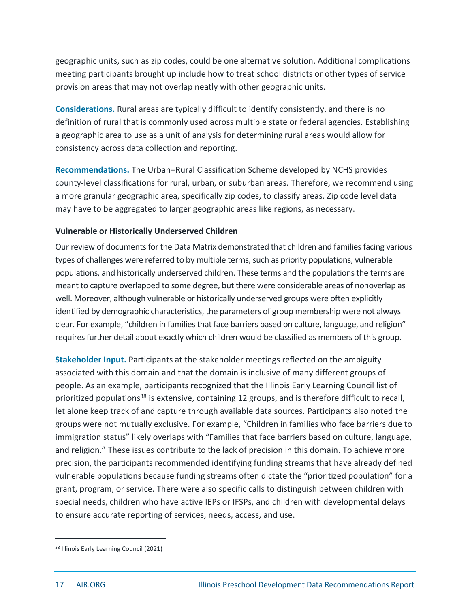geographic units, such as zip codes, could be one alternative solution. Additional complications meeting participants brought up include how to treat school districts or other types of service provision areas that may not overlap neatly with other geographic units.

**Considerations.** Rural areas are typically difficult to identify consistently, and there is no definition of rural that is commonly used across multiple state or federal agencies. Establishing a geographic area to use as a unit of analysis for determining rural areas would allow for consistency across data collection and reporting.

**Recommendations.** The Urban–Rural Classification Scheme developed by NCHS provides county-level classifications for rural, urban, or suburban areas. Therefore, we recommend using a more granular geographic area, specifically zip codes, to classify areas. Zip code level data may have to be aggregated to larger geographic areas like regions, as necessary.

#### **Vulnerable or Historically Underserved Children**

Our review of documents for the Data Matrix demonstrated that children and families facing various types of challenges were referred to by multiple terms, such as priority populations, vulnerable populations, and historically underserved children. These terms and the populations the terms are meant to capture overlapped to some degree, but there were considerable areas of nonoverlap as well. Moreover, although vulnerable or historically underserved groups were often explicitly identified by demographic characteristics, the parameters of group membership were not always clear. For example, "children in families that face barriers based on culture, language, and religion" requires further detail about exactly which children would be classified as members of this group.

**Stakeholder Input.** Participants at the stakeholder meetings reflected on the ambiguity associated with this domain and that the domain is inclusive of many different groups of people. As an example, participants recognized that the Illinois Early Learning Council list of prioritized populations<sup>38</sup> is extensive, containing 12 groups, and is therefore difficult to recall, let alone keep track of and capture through available data sources. Participants also noted the groups were not mutually exclusive. For example, "Children in families who face barriers due to immigration status" likely overlaps with "Families that face barriers based on culture, language, and religion." These issues contribute to the lack of precision in this domain. To achieve more precision, the participants recommended identifying funding streams that have already defined vulnerable populations because funding streams often dictate the "prioritized population" for a grant, program, or service. There were also specific calls to distinguish between children with special needs, children who have active IEPs or IFSPs, and children with developmental delays to ensure accurate reporting of services, needs, access, and use.

<sup>38</sup> Illinois Early Learning Council (2021)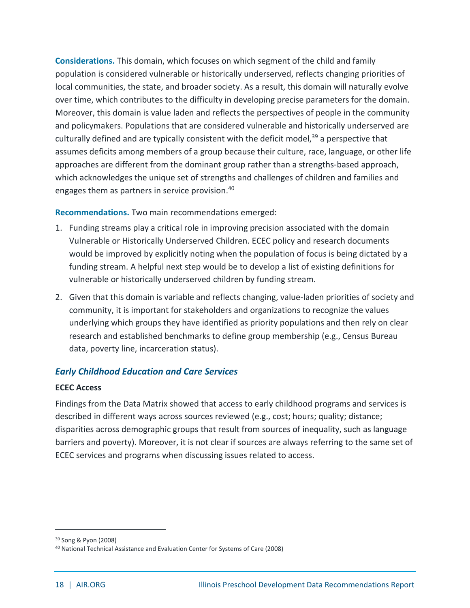**Considerations.** This domain, which focuses on which segment of the child and family population is considered vulnerable or historically underserved, reflects changing priorities of local communities, the state, and broader society. As a result, this domain will naturally evolve over time, which contributes to the difficulty in developing precise parameters for the domain. Moreover, this domain is value laden and reflects the perspectives of people in the community and policymakers. Populations that are considered vulnerable and historically underserved are culturally defined and are typically consistent with the deficit model,<sup>39</sup> a perspective that assumes deficits among members of a group because their culture, race, language, or other life approaches are different from the dominant group rather than a strengths-based approach, which acknowledges the unique set of strengths and challenges of children and families and engages them as partners in service provision. 40

**Recommendations.** Two main recommendations emerged:

- 1. Funding streams play a critical role in improving precision associated with the domain Vulnerable or Historically Underserved Children. ECEC policy and research documents would be improved by explicitly noting when the population of focus is being dictated by a funding stream. A helpful next step would be to develop a list of existing definitions for vulnerable or historically underserved children by funding stream.
- 2. Given that this domain is variable and reflects changing, value-laden priorities of society and community, it is important for stakeholders and organizations to recognize the values underlying which groups they have identified as priority populations and then rely on clear research and established benchmarks to define group membership (e.g., Census Bureau data, poverty line, incarceration status).

#### *Early Childhood Education and Care Services*

#### **ECEC Access**

Findings from the Data Matrix showed that access to early childhood programs and services is described in different ways across sources reviewed (e.g., cost; hours; quality; distance; disparities across demographic groups that result from sources of inequality, such as language barriers and poverty). Moreover, it is not clear if sources are always referring to the same set of ECEC services and programs when discussing issues related to access.

<sup>39</sup> Song & Pyon (2008)

<sup>40</sup> National Technical Assistance and Evaluation Center for Systems of Care (2008)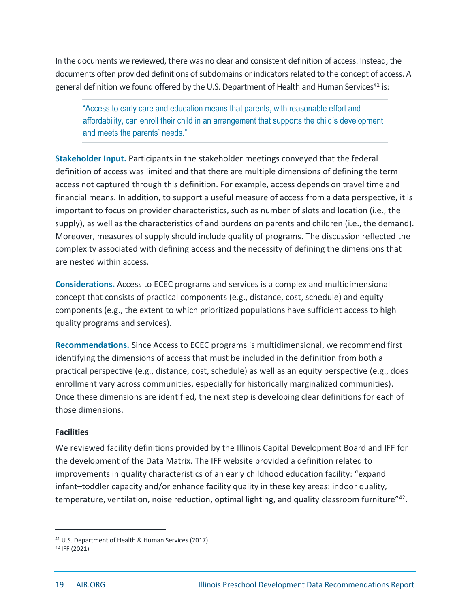In the documents we reviewed, there was no clear and consistent definition of access. Instead, the documents often provided definitions of subdomains or indicators related to the concept of access. A general definition we found offered by the U.S. Department of Health and Human Services<sup>41</sup> is:

"Access to early care and education means that parents, with reasonable effort and affordability, can enroll their child in an arrangement that supports the child's development and meets the parents' needs."

**Stakeholder Input.** Participants in the stakeholder meetings conveyed that the federal definition of access was limited and that there are multiple dimensions of defining the term access not captured through this definition. For example, access depends on travel time and financial means. In addition, to support a useful measure of access from a data perspective, it is important to focus on provider characteristics, such as number of slots and location (i.e., the supply), as well as the characteristics of and burdens on parents and children (i.e., the demand). Moreover, measures of supply should include quality of programs. The discussion reflected the complexity associated with defining access and the necessity of defining the dimensions that are nested within access.

**Considerations.** Access to ECEC programs and services is a complex and multidimensional concept that consists of practical components (e.g., distance, cost, schedule) and equity components (e.g., the extent to which prioritized populations have sufficient access to high quality programs and services).

**Recommendations.** Since Access to ECEC programs is multidimensional, we recommend first identifying the dimensions of access that must be included in the definition from both a practical perspective (e.g., distance, cost, schedule) as well as an equity perspective (e.g., does enrollment vary across communities, especially for historically marginalized communities). Once these dimensions are identified, the next step is developing clear definitions for each of those dimensions.

#### **Facilities**

We reviewed facility definitions provided by the Illinois Capital Development Board and IFF for the development of the Data Matrix. The IFF website provided a definition related to improvements in quality characteristics of an early childhood education facility: "expand infant–toddler capacity and/or enhance facility quality in these key areas: indoor quality, temperature, ventilation, noise reduction, optimal lighting, and quality classroom furniture"<sup>42</sup>.

<sup>41</sup> U.S. Department of Health & Human Services (2017)

<sup>42</sup> IFF (2021)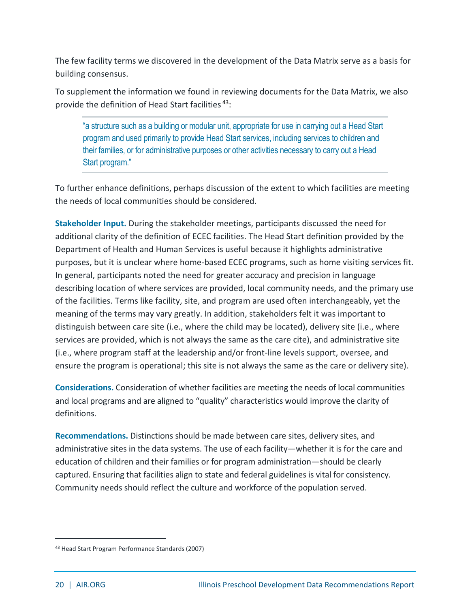The few facility terms we discovered in the development of the Data Matrix serve as a basis for building consensus.

To supplement the information we found in reviewing documents for the Data Matrix, we also provide the definition of Head Start facilities<sup>43</sup>:

"a structure such as a building or modular unit, appropriate for use in carrying out a Head Start program and used primarily to provide Head Start services, including services to children and their families, or for administrative purposes or other activities necessary to carry out a Head Start program."

To further enhance definitions, perhaps discussion of the extent to which facilities are meeting the needs of local communities should be considered.

**Stakeholder Input.** During the stakeholder meetings, participants discussed the need for additional clarity of the definition of ECEC facilities. The Head Start definition provided by the Department of Health and Human Services is useful because it highlights administrative purposes, but it is unclear where home-based ECEC programs, such as home visiting services fit. In general, participants noted the need for greater accuracy and precision in language describing location of where services are provided, local community needs, and the primary use of the facilities. Terms like facility, site, and program are used often interchangeably, yet the meaning of the terms may vary greatly. In addition, stakeholders felt it was important to distinguish between care site (i.e., where the child may be located), delivery site (i.e., where services are provided, which is not always the same as the care cite), and administrative site (i.e., where program staff at the leadership and/or front-line levels support, oversee, and ensure the program is operational; this site is not always the same as the care or delivery site).

**Considerations.** Consideration of whether facilities are meeting the needs of local communities and local programs and are aligned to "quality" characteristics would improve the clarity of definitions.

**Recommendations.** Distinctions should be made between care sites, delivery sites, and administrative sites in the data systems. The use of each facility—whether it is for the care and education of children and their families or for program administration—should be clearly captured. Ensuring that facilities align to state and federal guidelines is vital for consistency. Community needs should reflect the culture and workforce of the population served.

<sup>43</sup> Head Start Program Performance Standards (2007)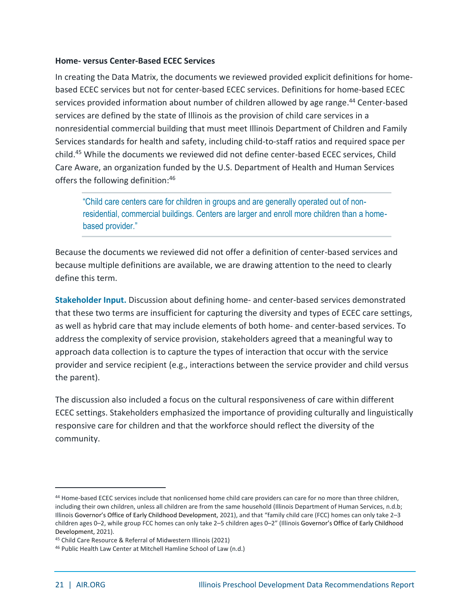#### **Home- versus Center-Based ECEC Services**

In creating the Data Matrix, the documents we reviewed provided explicit definitions for homebased ECEC services but not for center-based ECEC services. Definitions for home-based ECEC services provided information about number of children allowed by age range.<sup>44</sup> Center-based services are defined by the state of Illinois as the provision of child care services in a nonresidential commercial building that must meet Illinois Department of Children and Family Services standards for health and safety, including child-to-staff ratios and required space per child. <sup>45</sup> While the documents we reviewed did not define center-based ECEC services, Child Care Aware, an organization funded by the U.S. Department of Health and Human Services offers the following definition: 46

"Child care centers care for children in groups and are generally operated out of nonresidential, commercial buildings. Centers are larger and enroll more children than a homebased provider."

Because the documents we reviewed did not offer a definition of center-based services and because multiple definitions are available, we are drawing attention to the need to clearly define this term.

**Stakeholder Input.** Discussion about defining home- and center-based services demonstrated that these two terms are insufficient for capturing the diversity and types of ECEC care settings, as well as hybrid care that may include elements of both home- and center-based services. To address the complexity of service provision, stakeholders agreed that a meaningful way to approach data collection is to capture the types of interaction that occur with the service provider and service recipient (e.g., interactions between the service provider and child versus the parent).

The discussion also included a focus on the cultural responsiveness of care within different ECEC settings. Stakeholders emphasized the importance of providing culturally and linguistically responsive care for children and that the workforce should reflect the diversity of the community.

<sup>44</sup> Home-based ECEC services include that nonlicensed home child care providers can care for no more than three children, including their own children, unless all children are from the same household (Illinois Department of Human Services, n.d.b; Illinois Governor's Office of Early Childhood Development, 2021), and that "family child care (FCC) homes can only take 2–3 children ages 0–2, while group FCC homes can only take 2–5 children ages 0–2" (Illinois Governor's Office of Early Childhood Development, 2021).

<sup>45</sup> Child Care Resource & Referral of Midwestern Illinois (2021)

<sup>46</sup> Public Health Law Center at Mitchell Hamline School of Law (n.d.)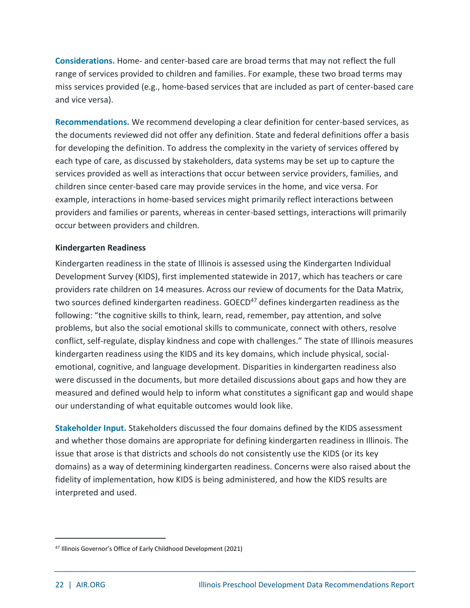**Considerations.** Home- and center-based care are broad terms that may not reflect the full range of services provided to children and families. For example, these two broad terms may miss services provided (e.g., home-based services that are included as part of center-based care and vice versa).

**Recommendations.** We recommend developing a clear definition for center-based services, as the documents reviewed did not offer any definition. State and federal definitions offer a basis for developing the definition. To address the complexity in the variety of services offered by each type of care, as discussed by stakeholders, data systems may be set up to capture the services provided as well as interactions that occur between service providers, families, and children since center-based care may provide services in the home, and vice versa. For example, interactions in home-based services might primarily reflect interactions between providers and families or parents, whereas in center-based settings, interactions will primarily occur between providers and children.

#### **Kindergarten Readiness**

Kindergarten readiness in the state of Illinois is assessed using the Kindergarten Individual Development Survey (KIDS), first implemented statewide in 2017, which has teachers or care providers rate children on 14 measures. Across our review of documents for the Data Matrix, two sources defined kindergarten readiness. GOECD<sup>47</sup> defines kindergarten readiness as the following: "the cognitive skills to think, learn, read, remember, pay attention, and solve problems, but also the social emotional skills to communicate, connect with others, resolve conflict, self-regulate, display kindness and cope with challenges." The state of Illinois measures kindergarten readiness using the KIDS and its key domains, which include physical, socialemotional, cognitive, and language development. Disparities in kindergarten readiness also were discussed in the documents, but more detailed discussions about gaps and how they are measured and defined would help to inform what constitutes a significant gap and would shape our understanding of what equitable outcomes would look like.

**Stakeholder Input.** Stakeholders discussed the four domains defined by the KIDS assessment and whether those domains are appropriate for defining kindergarten readiness in Illinois. The issue that arose is that districts and schools do not consistently use the KIDS (or its key domains) as a way of determining kindergarten readiness. Concerns were also raised about the fidelity of implementation, how KIDS is being administered, and how the KIDS results are interpreted and used.

<sup>47</sup> Illinois Governor's Office of Early Childhood Development (2021)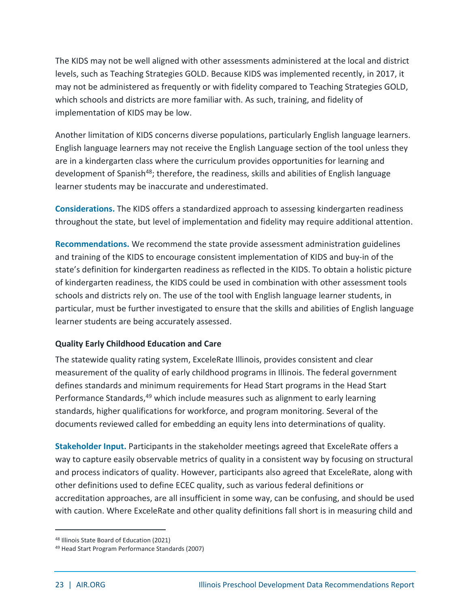The KIDS may not be well aligned with other assessments administered at the local and district levels, such as Teaching Strategies GOLD. Because KIDS was implemented recently, in 2017, it may not be administered as frequently or with fidelity compared to Teaching Strategies GOLD, which schools and districts are more familiar with. As such, training, and fidelity of implementation of KIDS may be low.

Another limitation of KIDS concerns diverse populations, particularly English language learners. English language learners may not receive the English Language section of the tool unless they are in a kindergarten class where the curriculum provides opportunities for learning and development of Spanish<sup>48</sup>; therefore, the readiness, skills and abilities of English language learner students may be inaccurate and underestimated.

**Considerations.** The KIDS offers a standardized approach to assessing kindergarten readiness throughout the state, but level of implementation and fidelity may require additional attention.

**Recommendations.** We recommend the state provide assessment administration guidelines and training of the KIDS to encourage consistent implementation of KIDS and buy-in of the state's definition for kindergarten readiness as reflected in the KIDS. To obtain a holistic picture of kindergarten readiness, the KIDS could be used in combination with other assessment tools schools and districts rely on. The use of the tool with English language learner students, in particular, must be further investigated to ensure that the skills and abilities of English language learner students are being accurately assessed.

#### **Quality Early Childhood Education and Care**

The statewide quality rating system, ExceleRate Illinois, provides consistent and clear measurement of the quality of early childhood programs in Illinois. The federal government defines standards and minimum requirements for Head Start programs in the Head Start Performance Standards,<sup>49</sup> which include measures such as alignment to early learning standards, higher qualifications for workforce, and program monitoring. Several of the documents reviewed called for embedding an equity lens into determinations of quality.

**Stakeholder Input.** Participants in the stakeholder meetings agreed that ExceleRate offers a way to capture easily observable metrics of quality in a consistent way by focusing on structural and process indicators of quality. However, participants also agreed that ExceleRate, along with other definitions used to define ECEC quality, such as various federal definitions or accreditation approaches, are all insufficient in some way, can be confusing, and should be used with caution. Where ExceleRate and other quality definitions fall short is in measuring child and

<sup>48</sup> Illinois State Board of Education (2021)

<sup>49</sup> Head Start Program Performance Standards (2007)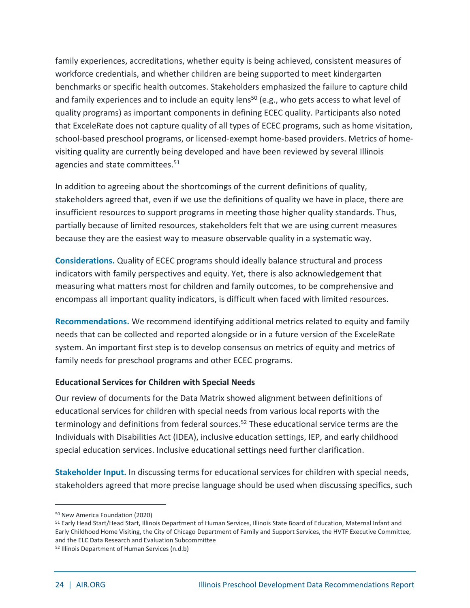family experiences, accreditations, whether equity is being achieved, consistent measures of workforce credentials, and whether children are being supported to meet kindergarten benchmarks or specific health outcomes. Stakeholders emphasized the failure to capture child and family experiences and to include an equity lens<sup>50</sup> (e.g., who gets access to what level of quality programs) as important components in defining ECEC quality. Participants also noted that ExceleRate does not capture quality of all types of ECEC programs, such as home visitation, school-based preschool programs, or licensed-exempt home-based providers. Metrics of homevisiting quality are currently being developed and have been reviewed by several Illinois agencies and state committees.<sup>51</sup>

In addition to agreeing about the shortcomings of the current definitions of quality, stakeholders agreed that, even if we use the definitions of quality we have in place, there are insufficient resources to support programs in meeting those higher quality standards. Thus, partially because of limited resources, stakeholders felt that we are using current measures because they are the easiest way to measure observable quality in a systematic way.

**Considerations.** Quality of ECEC programs should ideally balance structural and process indicators with family perspectives and equity. Yet, there is also acknowledgement that measuring what matters most for children and family outcomes, to be comprehensive and encompass all important quality indicators, is difficult when faced with limited resources.

**Recommendations.** We recommend identifying additional metrics related to equity and family needs that can be collected and reported alongside or in a future version of the ExceleRate system. An important first step is to develop consensus on metrics of equity and metrics of family needs for preschool programs and other ECEC programs.

#### **Educational Services for Children with Special Needs**

Our review of documents for the Data Matrix showed alignment between definitions of educational services for children with special needs from various local reports with the terminology and definitions from federal sources. <sup>52</sup> These educational service terms are the Individuals with Disabilities Act (IDEA), inclusive education settings, IEP, and early childhood special education services. Inclusive educational settings need further clarification.

**Stakeholder Input.** In discussing terms for educational services for children with special needs, stakeholders agreed that more precise language should be used when discussing specifics, such

<sup>50</sup> New America Foundation (2020)

<sup>51</sup> Early Head Start/Head Start, Illinois Department of Human Services, Illinois State Board of Education, Maternal Infant and Early Childhood Home Visiting, the City of Chicago Department of Family and Support Services, the HVTF Executive Committee, and the ELC Data Research and Evaluation Subcommittee

<sup>52</sup> Illinois Department of Human Services (n.d.b)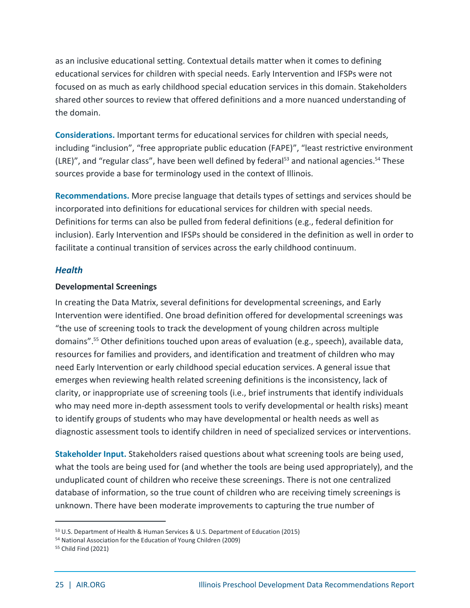as an inclusive educational setting. Contextual details matter when it comes to defining educational services for children with special needs. Early Intervention and IFSPs were not focused on as much as early childhood special education services in this domain. Stakeholders shared other sources to review that offered definitions and a more nuanced understanding of the domain.

**Considerations.** Important terms for educational services for children with special needs, including "inclusion", "free appropriate public education (FAPE)", "least restrictive environment (LRE)", and "regular class", have been well defined by federal<sup>53</sup> and national agencies.<sup>54</sup> These sources provide a base for terminology used in the context of Illinois.

**Recommendations.** More precise language that details types of settings and services should be incorporated into definitions for educational services for children with special needs. Definitions for terms can also be pulled from federal definitions (e.g., federal definition for inclusion). Early Intervention and IFSPs should be considered in the definition as well in order to facilitate a continual transition of services across the early childhood continuum.

#### *Health*

#### **Developmental Screenings**

In creating the Data Matrix, several definitions for developmental screenings, and Early Intervention were identified. One broad definition offered for developmental screenings was "the use of screening tools to track the development of young children across multiple domains". <sup>55</sup> Other definitions touched upon areas of evaluation (e.g., speech), available data, resources for families and providers, and identification and treatment of children who may need Early Intervention or early childhood special education services. A general issue that emerges when reviewing health related screening definitions is the inconsistency, lack of clarity, or inappropriate use of screening tools (i.e., brief instruments that identify individuals who may need more in-depth assessment tools to verify developmental or health risks) meant to identify groups of students who may have developmental or health needs as well as diagnostic assessment tools to identify children in need of specialized services or interventions.

**Stakeholder Input.** Stakeholders raised questions about what screening tools are being used, what the tools are being used for (and whether the tools are being used appropriately), and the unduplicated count of children who receive these screenings. There is not one centralized database of information, so the true count of children who are receiving timely screenings is unknown. There have been moderate improvements to capturing the true number of

<sup>53</sup> U.S. Department of Health & Human Services & U.S. Department of Education (2015)

<sup>54</sup> National Association for the Education of Young Children (2009)

<sup>55</sup> Child Find (2021)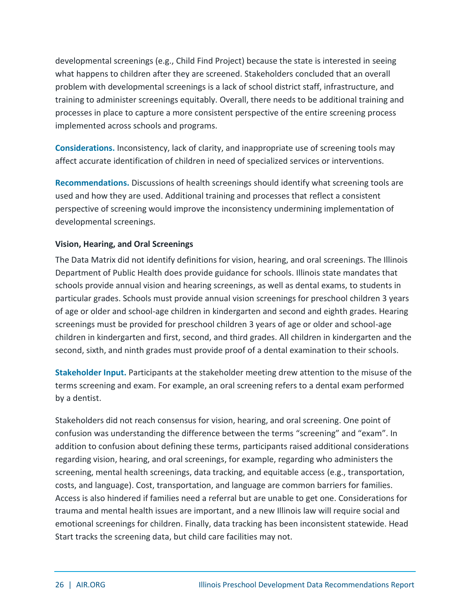developmental screenings (e.g., Child Find Project) because the state is interested in seeing what happens to children after they are screened. Stakeholders concluded that an overall problem with developmental screenings is a lack of school district staff, infrastructure, and training to administer screenings equitably. Overall, there needs to be additional training and processes in place to capture a more consistent perspective of the entire screening process implemented across schools and programs.

**Considerations.** Inconsistency, lack of clarity, and inappropriate use of screening tools may affect accurate identification of children in need of specialized services or interventions.

**Recommendations.** Discussions of health screenings should identify what screening tools are used and how they are used. Additional training and processes that reflect a consistent perspective of screening would improve the inconsistency undermining implementation of developmental screenings.

#### **Vision, Hearing, and Oral Screenings**

The Data Matrix did not identify definitions for vision, hearing, and oral screenings. The Illinois Department of Public Health does provide guidance for schools. Illinois state mandates that schools provide annual vision and hearing screenings, as well as dental exams, to students in particular grades. Schools must provide annual vision screenings for preschool children 3 years of age or older and school-age children in kindergarten and second and eighth grades. Hearing screenings must be provided for preschool children 3 years of age or older and school-age children in kindergarten and first, second, and third grades. All children in kindergarten and the second, sixth, and ninth grades must provide proof of a dental examination to their schools.

**Stakeholder Input.** Participants at the stakeholder meeting drew attention to the misuse of the terms screening and exam. For example, an oral screening refers to a dental exam performed by a dentist.

Stakeholders did not reach consensus for vision, hearing, and oral screening. One point of confusion was understanding the difference between the terms "screening" and "exam". In addition to confusion about defining these terms, participants raised additional considerations regarding vision, hearing, and oral screenings, for example, regarding who administers the screening, mental health screenings, data tracking, and equitable access (e.g., transportation, costs, and language). Cost, transportation, and language are common barriers for families. Access is also hindered if families need a referral but are unable to get one. Considerations for trauma and mental health issues are important, and a new Illinois law will require social and emotional screenings for children. Finally, data tracking has been inconsistent statewide. Head Start tracks the screening data, but child care facilities may not.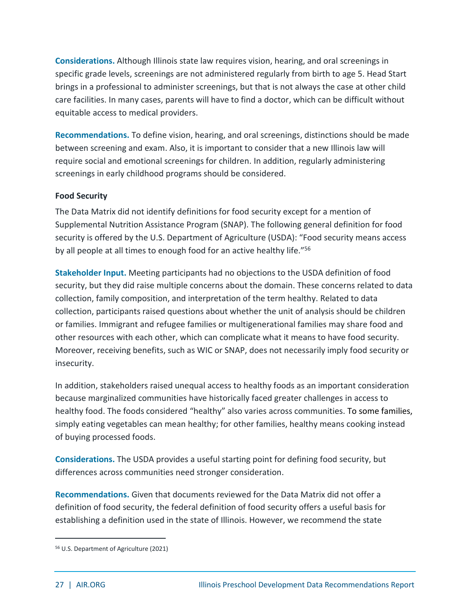**Considerations.** Although Illinois state law requires vision, hearing, and oral screenings in specific grade levels, screenings are not administered regularly from birth to age 5. Head Start brings in a professional to administer screenings, but that is not always the case at other child care facilities. In many cases, parents will have to find a doctor, which can be difficult without equitable access to medical providers.

**Recommendations.** To define vision, hearing, and oral screenings, distinctions should be made between screening and exam. Also, it is important to consider that a new Illinois law will require social and emotional screenings for children. In addition, regularly administering screenings in early childhood programs should be considered.

#### **Food Security**

The Data Matrix did not identify definitions for food security except for a mention of Supplemental Nutrition Assistance Program (SNAP). The following general definition for food security is offered by the U.S. Department of Agriculture (USDA): "Food security means access by all people at all times to enough food for an active healthy life."<sup>56</sup>

**Stakeholder Input.** Meeting participants had no objections to the USDA definition of food security, but they did raise multiple concerns about the domain. These concerns related to data collection, family composition, and interpretation of the term healthy. Related to data collection, participants raised questions about whether the unit of analysis should be children or families. Immigrant and refugee families or multigenerational families may share food and other resources with each other, which can complicate what it means to have food security. Moreover, receiving benefits, such as WIC or SNAP, does not necessarily imply food security or insecurity.

In addition, stakeholders raised unequal access to healthy foods as an important consideration because marginalized communities have historically faced greater challenges in access to healthy food. The foods considered "healthy" also varies across communities. To some families, simply eating vegetables can mean healthy; for other families, healthy means cooking instead of buying processed foods.

**Considerations.** The USDA provides a useful starting point for defining food security, but differences across communities need stronger consideration.

**Recommendations.** Given that documents reviewed for the Data Matrix did not offer a definition of food security, the federal definition of food security offers a useful basis for establishing a definition used in the state of Illinois. However, we recommend the state

<sup>56</sup> U.S. Department of Agriculture (2021)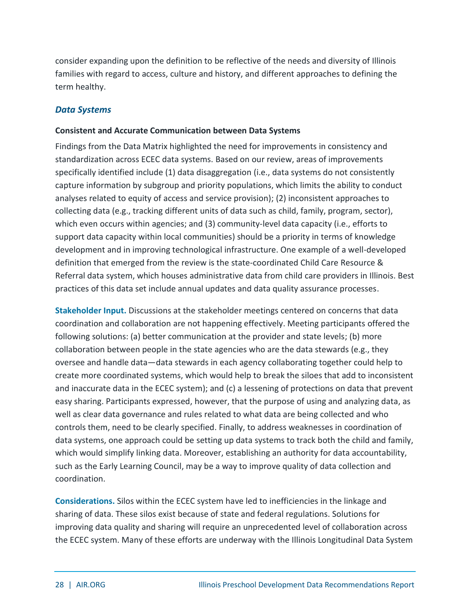consider expanding upon the definition to be reflective of the needs and diversity of Illinois families with regard to access, culture and history, and different approaches to defining the term healthy.

#### *Data Systems*

#### **Consistent and Accurate Communication between Data Systems**

Findings from the Data Matrix highlighted the need for improvements in consistency and standardization across ECEC data systems. Based on our review, areas of improvements specifically identified include (1) data disaggregation (i.e., data systems do not consistently capture information by subgroup and priority populations, which limits the ability to conduct analyses related to equity of access and service provision); (2) inconsistent approaches to collecting data (e.g., tracking different units of data such as child, family, program, sector), which even occurs within agencies; and (3) community-level data capacity (i.e., efforts to support data capacity within local communities) should be a priority in terms of knowledge development and in improving technological infrastructure. One example of a well-developed definition that emerged from the review is the state-coordinated Child Care Resource & Referral data system, which houses administrative data from child care providers in Illinois. Best practices of this data set include annual updates and data quality assurance processes.

**Stakeholder Input.** Discussions at the stakeholder meetings centered on concerns that data coordination and collaboration are not happening effectively. Meeting participants offered the following solutions: (a) better communication at the provider and state levels; (b) more collaboration between people in the state agencies who are the data stewards (e.g., they oversee and handle data—data stewards in each agency collaborating together could help to create more coordinated systems, which would help to break the siloes that add to inconsistent and inaccurate data in the ECEC system); and (c) a lessening of protections on data that prevent easy sharing. Participants expressed, however, that the purpose of using and analyzing data, as well as clear data governance and rules related to what data are being collected and who controls them, need to be clearly specified. Finally, to address weaknesses in coordination of data systems, one approach could be setting up data systems to track both the child and family, which would simplify linking data. Moreover, establishing an authority for data accountability, such as the Early Learning Council, may be a way to improve quality of data collection and coordination.

**Considerations.** Silos within the ECEC system have led to inefficiencies in the linkage and sharing of data. These silos exist because of state and federal regulations. Solutions for improving data quality and sharing will require an unprecedented level of collaboration across the ECEC system. Many of these efforts are underway with the Illinois Longitudinal Data System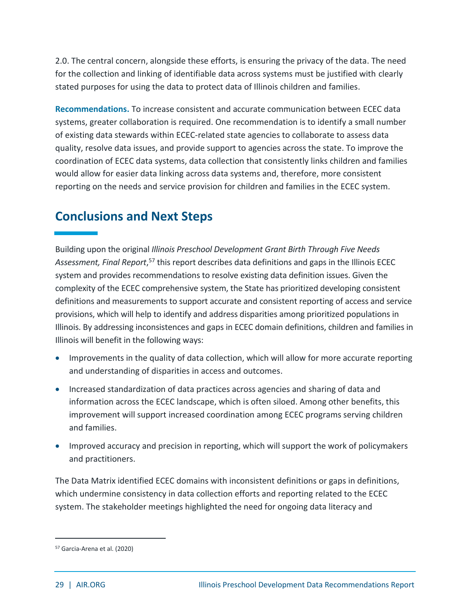2.0. The central concern, alongside these efforts, is ensuring the privacy of the data. The need for the collection and linking of identifiable data across systems must be justified with clearly stated purposes for using the data to protect data of Illinois children and families.

**Recommendations.** To increase consistent and accurate communication between ECEC data systems, greater collaboration is required. One recommendation is to identify a small number of existing data stewards within ECEC-related state agencies to collaborate to assess data quality, resolve data issues, and provide support to agencies across the state. To improve the coordination of ECEC data systems, data collection that consistently links children and families would allow for easier data linking across data systems and, therefore, more consistent reporting on the needs and service provision for children and families in the ECEC system.

### <span id="page-29-0"></span>**Conclusions and Next Steps**

Building upon the original *Illinois Preschool Development Grant Birth Through Five Needs*  Assessment, Final Report,<sup>57</sup> this report describes data definitions and gaps in the Illinois ECEC system and provides recommendations to resolve existing data definition issues. Given the complexity of the ECEC comprehensive system, the State has prioritized developing consistent definitions and measurements to support accurate and consistent reporting of access and service provisions, which will help to identify and address disparities among prioritized populations in Illinois. By addressing inconsistences and gaps in ECEC domain definitions, children and families in Illinois will benefit in the following ways:

- Improvements in the quality of data collection, which will allow for more accurate reporting and understanding of disparities in access and outcomes.
- Increased standardization of data practices across agencies and sharing of data and information across the ECEC landscape, which is often siloed. Among other benefits, this improvement will support increased coordination among ECEC programs serving children and families.
- Improved accuracy and precision in reporting, which will support the work of policymakers and practitioners.

The Data Matrix identified ECEC domains with inconsistent definitions or gaps in definitions, which undermine consistency in data collection efforts and reporting related to the ECEC system. The stakeholder meetings highlighted the need for ongoing data literacy and

<sup>57</sup> Garcia-Arena et al. (2020)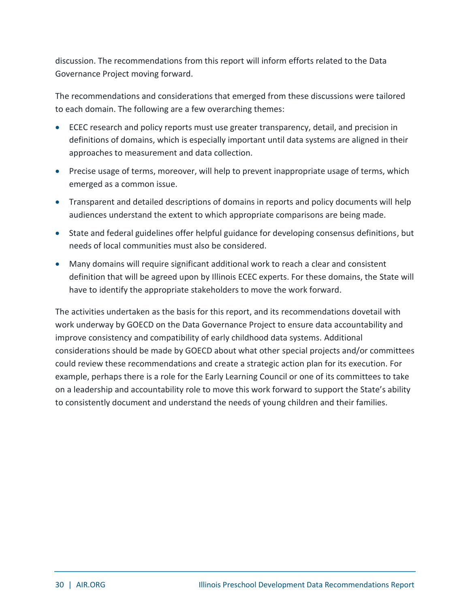discussion. The recommendations from this report will inform efforts related to the Data Governance Project moving forward.

The recommendations and considerations that emerged from these discussions were tailored to each domain. The following are a few overarching themes:

- ECEC research and policy reports must use greater transparency, detail, and precision in definitions of domains, which is especially important until data systems are aligned in their approaches to measurement and data collection.
- Precise usage of terms, moreover, will help to prevent inappropriate usage of terms, which emerged as a common issue.
- Transparent and detailed descriptions of domains in reports and policy documents will help audiences understand the extent to which appropriate comparisons are being made.
- State and federal guidelines offer helpful guidance for developing consensus definitions, but needs of local communities must also be considered.
- Many domains will require significant additional work to reach a clear and consistent definition that will be agreed upon by Illinois ECEC experts. For these domains, the State will have to identify the appropriate stakeholders to move the work forward.

The activities undertaken as the basis for this report, and its recommendations dovetail with work underway by GOECD on the Data Governance Project to ensure data accountability and improve consistency and compatibility of early childhood data systems. Additional considerations should be made by GOECD about what other special projects and/or committees could review these recommendations and create a strategic action plan for its execution. For example, perhaps there is a role for the Early Learning Council or one of its committees to take on a leadership and accountability role to move this work forward to support the State's ability to consistently document and understand the needs of young children and their families.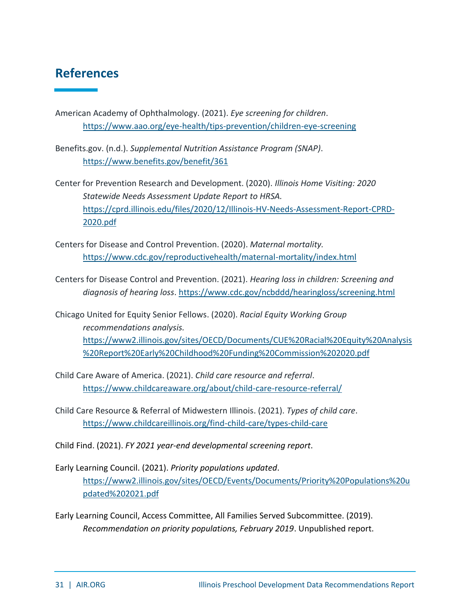### <span id="page-31-0"></span>**References**

American Academy of Ophthalmology. (2021). *Eye screening for children*. <https://www.aao.org/eye-health/tips-prevention/children-eye-screening>

Benefits.gov. (n.d.). *Supplemental Nutrition Assistance Program (SNAP)*. <https://www.benefits.gov/benefit/361>

Center for Prevention Research and Development. (2020). *Illinois Home Visiting: 2020 Statewide Needs Assessment Update Report to HRSA.*  [https://cprd.illinois.edu/files/2020/12/Illinois-HV-Needs-Assessment-Report-CPRD-](https://cprd.illinois.edu/files/2020/12/Illinois-HV-Needs-Assessment-Report-CPRD-2020.pdf)[2020.pdf](https://cprd.illinois.edu/files/2020/12/Illinois-HV-Needs-Assessment-Report-CPRD-2020.pdf)

Centers for Disease and Control Prevention. (2020). *Maternal mortality.* <https://www.cdc.gov/reproductivehealth/maternal-mortality/index.html>

Centers for Disease Control and Prevention. (2021). *Hearing loss in children: Screening and diagnosis of hearing loss*.<https://www.cdc.gov/ncbddd/hearingloss/screening.html>

Chicago United for Equity Senior Fellows. (2020). *Racial Equity Working Group recommendations analysis.* [https://www2.illinois.gov/sites/OECD/Documents/CUE%20Racial%20Equity%20Analysis](https://www2.illinois.gov/sites/OECD/Documents/CUE%20Racial%20Equity%20Analysis%20Report%20Early%20Childhood%20Funding%20Commission%202020.pdf) [%20Report%20Early%20Childhood%20Funding%20Commission%202020.pdf](https://www2.illinois.gov/sites/OECD/Documents/CUE%20Racial%20Equity%20Analysis%20Report%20Early%20Childhood%20Funding%20Commission%202020.pdf)

Child Care Aware of America. (2021). *Child care resource and referral*. <https://www.childcareaware.org/about/child-care-resource-referral/>

Child Care Resource & Referral of Midwestern Illinois. (2021). *Types of child care*. <https://www.childcareillinois.org/find-child-care/types-child-care>

Child Find. (2021). *FY 2021 year-end developmental screening report*.

Early Learning Council. (2021). *Priority populations updated*. [https://www2.illinois.gov/sites/OECD/Events/Documents/Priority%20Populations%20u](https://www2.illinois.gov/sites/OECD/Events/Documents/Priority%20Populations%20updated%202021.pdf) [pdated%202021.pdf](https://www2.illinois.gov/sites/OECD/Events/Documents/Priority%20Populations%20updated%202021.pdf)

Early Learning Council, Access Committee, All Families Served Subcommittee. (2019). *Recommendation on priority populations, February 2019*. Unpublished report.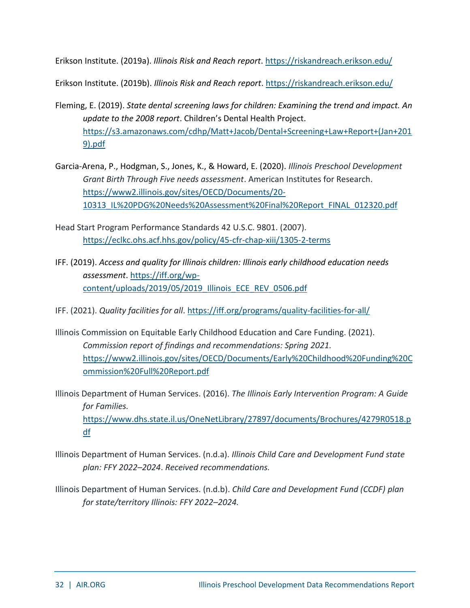Erikson Institute. (2019a). *Illinois Risk and Reach report*[. https://riskandreach.erikson.edu/](https://riskandreach.erikson.edu/)

Erikson Institute. (2019b). *Illinois Risk and Reach report*.<https://riskandreach.erikson.edu/>

- Fleming, E. (2019). *State dental screening laws for children: Examining the trend and impact. An update to the 2008 report*. Children's Dental Health Project. [https://s3.amazonaws.com/cdhp/Matt+Jacob/Dental+Screening+Law+Report+\(Jan+201](https://s3.amazonaws.com/cdhp/Matt+Jacob/Dental+Screening+Law+Report+(Jan+2019).pdf) [9\).pdf](https://s3.amazonaws.com/cdhp/Matt+Jacob/Dental+Screening+Law+Report+(Jan+2019).pdf)
- Garcia-Arena, P., Hodgman, S., Jones, K., & Howard, E. (2020). *Illinois Preschool Development Grant Birth Through Five needs assessment*. American Institutes for Research. [https://www2.illinois.gov/sites/OECD/Documents/20-](https://www2.illinois.gov/sites/OECD/Documents/20-10313_IL%20PDG%20Needs%20Assessment%20Final%20Report_FINAL_012320.pdf) [10313\\_IL%20PDG%20Needs%20Assessment%20Final%20Report\\_FINAL\\_012320.pdf](https://www2.illinois.gov/sites/OECD/Documents/20-10313_IL%20PDG%20Needs%20Assessment%20Final%20Report_FINAL_012320.pdf)
- Head Start Program Performance Standards 42 U.S.C. 9801. (2007). <https://eclkc.ohs.acf.hhs.gov/policy/45-cfr-chap-xiii/1305-2-terms>
- IFF. (2019). *Access and quality for Illinois children: Illinois early childhood education needs assessment*[. https://iff.org/wp](https://iff.org/wp-content/uploads/2019/05/2019_Illinois_ECE_REV_0506.pdf)[content/uploads/2019/05/2019\\_Illinois\\_ECE\\_REV\\_0506.pdf](https://iff.org/wp-content/uploads/2019/05/2019_Illinois_ECE_REV_0506.pdf)
- IFF. (2021). *Quality facilities for all*.<https://iff.org/programs/quality-facilities-for-all/>
- Illinois Commission on Equitable Early Childhood Education and Care Funding. (2021). *Commission report of findings and recommendations: Spring 2021.* [https://www2.illinois.gov/sites/OECD/Documents/Early%20Childhood%20Funding%20C](https://www2.illinois.gov/sites/OECD/Documents/Early%20Childhood%20Funding%20Commission%20Full%20Report.pdf) [ommission%20Full%20Report.pdf](https://www2.illinois.gov/sites/OECD/Documents/Early%20Childhood%20Funding%20Commission%20Full%20Report.pdf)
- Illinois Department of Human Services. (2016). *The Illinois Early Intervention Program: A Guide for Families.*  [https://www.dhs.state.il.us/OneNetLibrary/27897/documents/Brochures/4279R0518.p](https://www.dhs.state.il.us/OneNetLibrary/27897/documents/Brochures/4279R0518.pdf) [df](https://www.dhs.state.il.us/OneNetLibrary/27897/documents/Brochures/4279R0518.pdf)
- Illinois Department of Human Services. (n.d.a). *Illinois Child Care and Development Fund state plan: FFY 2022–2024*. *Received recommendations.*
- Illinois Department of Human Services. (n.d.b). *Child Care and Development Fund (CCDF) plan for state/territory Illinois: FFY 2022–2024.*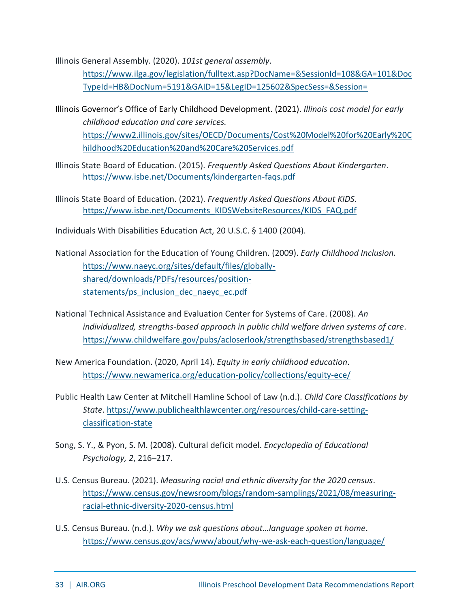Illinois General Assembly. (2020). *101st general assembly*.

[https://www.ilga.gov/legislation/fulltext.asp?DocName=&SessionId=108&GA=101&Doc](https://www.ilga.gov/legislation/fulltext.asp?DocName=&SessionId=108&GA=101&DocTypeId=HB&DocNum=5191&GAID=15&LegID=125602&SpecSess=&Session=) [TypeId=HB&DocNum=5191&GAID=15&LegID=125602&SpecSess=&Session=](https://www.ilga.gov/legislation/fulltext.asp?DocName=&SessionId=108&GA=101&DocTypeId=HB&DocNum=5191&GAID=15&LegID=125602&SpecSess=&Session=)

- Illinois Governor's Office of Early Childhood Development. (2021). *Illinois cost model for early childhood education and care services.* [https://www2.illinois.gov/sites/OECD/Documents/Cost%20Model%20for%20Early%20C](https://www2.illinois.gov/sites/OECD/Documents/Cost%20Model%20for%20Early%20Childhood%20Education%20and%20Care%20Services.pdf) [hildhood%20Education%20and%20Care%20Services.pdf](https://www2.illinois.gov/sites/OECD/Documents/Cost%20Model%20for%20Early%20Childhood%20Education%20and%20Care%20Services.pdf)
- Illinois State Board of Education. (2015). *Frequently Asked Questions About Kindergarten*. <https://www.isbe.net/Documents/kindergarten-faqs.pdf>
- Illinois State Board of Education. (2021). *Frequently Asked Questions About KIDS*. [https://www.isbe.net/Documents\\_KIDSWebsiteResources/KIDS\\_FAQ.pdf](https://www.isbe.net/Documents_KIDSWebsiteResources/KIDS_FAQ.pdf)
- Individuals With Disabilities Education Act, 20 U.S.C. § 1400 (2004).
- National Association for the Education of Young Children. (2009). *Early Childhood Inclusion.* [https://www.naeyc.org/sites/default/files/globally](https://www.naeyc.org/sites/default/files/globally-shared/downloads/PDFs/resources/position-statements/ps_inclusion_dec_naeyc_ec.pdf)[shared/downloads/PDFs/resources/position](https://www.naeyc.org/sites/default/files/globally-shared/downloads/PDFs/resources/position-statements/ps_inclusion_dec_naeyc_ec.pdf)[statements/ps\\_inclusion\\_dec\\_naeyc\\_ec.pdf](https://www.naeyc.org/sites/default/files/globally-shared/downloads/PDFs/resources/position-statements/ps_inclusion_dec_naeyc_ec.pdf)
- National Technical Assistance and Evaluation Center for Systems of Care. (2008). *An individualized, strengths-based approach in public child welfare driven systems of care*. <https://www.childwelfare.gov/pubs/acloserlook/strengthsbased/strengthsbased1/>
- New America Foundation. (2020, April 14). *Equity in early childhood education*. <https://www.newamerica.org/education-policy/collections/equity-ece/>
- Public Health Law Center at Mitchell Hamline School of Law (n.d.). *Child Care Classifications by State*. [https://www.publichealthlawcenter.org/resources/child-care-setting](https://www.publichealthlawcenter.org/resources/child-care-setting-classification-state)[classification-state](https://www.publichealthlawcenter.org/resources/child-care-setting-classification-state)
- Song, S. Y., & Pyon, S. M. (2008). Cultural deficit model. *Encyclopedia of Educational Psychology, 2*, 216–217.
- U.S. Census Bureau. (2021). *Measuring racial and ethnic diversity for the 2020 census*. [https://www.census.gov/newsroom/blogs/random-samplings/2021/08/measuring](https://www.census.gov/newsroom/blogs/random-samplings/2021/08/measuring-racial-ethnic-diversity-2020-census.html)[racial-ethnic-diversity-2020-census.html](https://www.census.gov/newsroom/blogs/random-samplings/2021/08/measuring-racial-ethnic-diversity-2020-census.html)
- U.S. Census Bureau. (n.d.). *Why we ask questions about…language spoken at home*. <https://www.census.gov/acs/www/about/why-we-ask-each-question/language/>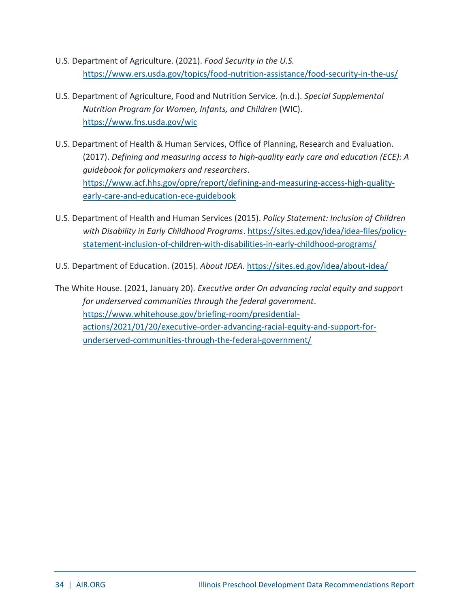- U.S. Department of Agriculture. (2021). *Food Security in the U.S.* <https://www.ers.usda.gov/topics/food-nutrition-assistance/food-security-in-the-us/>
- U.S. Department of Agriculture, Food and Nutrition Service. (n.d.). *Special Supplemental Nutrition Program for Women, Infants, and Children* (WIC). <https://www.fns.usda.gov/wic>
- U.S. Department of Health & Human Services, Office of Planning, Research and Evaluation. (2017). *Defining and measuring access to high-quality early care and education (ECE): A guidebook for policymakers and researchers*. [https://www.acf.hhs.gov/opre/report/defining-and-measuring-access-high-quality](https://www.acf.hhs.gov/opre/report/defining-and-measuring-access-high-quality-early-care-and-education-ece-guidebook)[early-care-and-education-ece-guidebook](https://www.acf.hhs.gov/opre/report/defining-and-measuring-access-high-quality-early-care-and-education-ece-guidebook)
- U.S. Department of Health and Human Services (2015). *Policy Statement: Inclusion of Children with Disability in Early Childhood Programs*. [https://sites.ed.gov/idea/idea-files/policy](https://sites.ed.gov/idea/idea-files/policy-statement-inclusion-of-children-with-disabilities-in-early-childhood-programs/)[statement-inclusion-of-children-with-disabilities-in-early-childhood-programs/](https://sites.ed.gov/idea/idea-files/policy-statement-inclusion-of-children-with-disabilities-in-early-childhood-programs/)
- U.S. Department of Education. (2015). *About IDEA*.<https://sites.ed.gov/idea/about-idea/>

The White House. (2021, January 20). *Executive order On advancing racial equity and support for underserved communities through the federal government*. [https://www.whitehouse.gov/briefing-room/presidential](https://www.whitehouse.gov/briefing-room/presidential-actions/2021/01/20/executive-order-advancing-racial-equity-and-support-for-underserved-communities-through-the-federal-government/)[actions/2021/01/20/executive-order-advancing-racial-equity-and-support-for](https://www.whitehouse.gov/briefing-room/presidential-actions/2021/01/20/executive-order-advancing-racial-equity-and-support-for-underserved-communities-through-the-federal-government/)[underserved-communities-through-the-federal-government/](https://www.whitehouse.gov/briefing-room/presidential-actions/2021/01/20/executive-order-advancing-racial-equity-and-support-for-underserved-communities-through-the-federal-government/)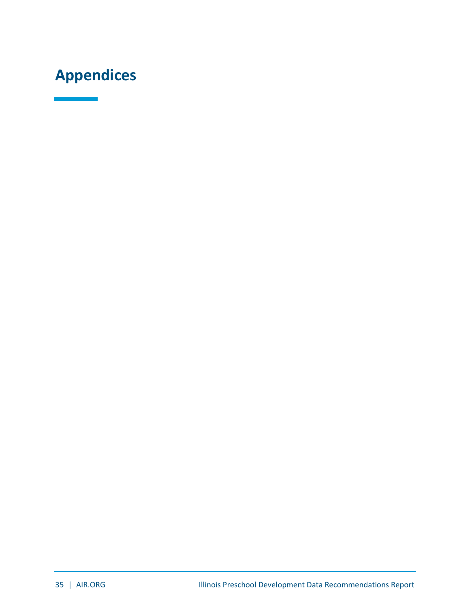# <span id="page-35-0"></span>**Appendices**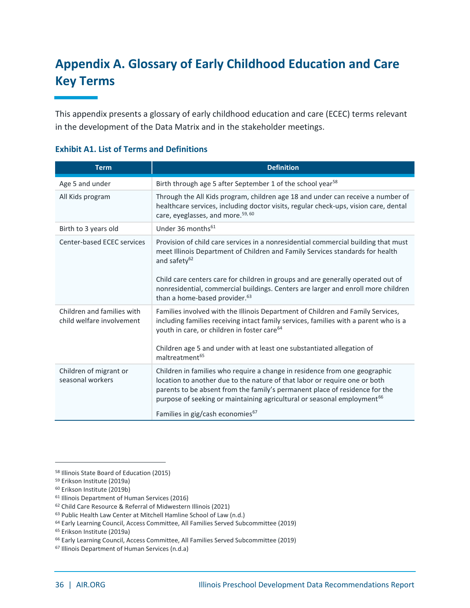### <span id="page-36-0"></span>**Appendix A. Glossary of Early Childhood Education and Care Key Terms**

This appendix presents a glossary of early childhood education and care (ECEC) terms relevant in the development of the Data Matrix and in the stakeholder meetings.

| <b>Term</b>                                             | <b>Definition</b>                                                                                                                                                                                                                                                                                                                                                                                                     |
|---------------------------------------------------------|-----------------------------------------------------------------------------------------------------------------------------------------------------------------------------------------------------------------------------------------------------------------------------------------------------------------------------------------------------------------------------------------------------------------------|
| Age 5 and under                                         | Birth through age 5 after September 1 of the school year <sup>58</sup>                                                                                                                                                                                                                                                                                                                                                |
| All Kids program                                        | Through the All Kids program, children age 18 and under can receive a number of<br>healthcare services, including doctor visits, regular check-ups, vision care, dental<br>care, eyeglasses, and more. <sup>59, 60</sup>                                                                                                                                                                                              |
| Birth to 3 years old                                    | Under 36 months <sup>61</sup>                                                                                                                                                                                                                                                                                                                                                                                         |
| Center-based ECEC services                              | Provision of child care services in a nonresidential commercial building that must<br>meet Illinois Department of Children and Family Services standards for health<br>and safety <sup>62</sup><br>Child care centers care for children in groups and are generally operated out of<br>nonresidential, commercial buildings. Centers are larger and enroll more children<br>than a home-based provider. <sup>63</sup> |
| Children and families with<br>child welfare involvement | Families involved with the Illinois Department of Children and Family Services,<br>including families receiving intact family services, families with a parent who is a<br>youth in care, or children in foster care <sup>64</sup><br>Children age 5 and under with at least one substantiated allegation of<br>maltreatment <sup>65</sup>                                                                            |
| Children of migrant or<br>seasonal workers              | Children in families who require a change in residence from one geographic<br>location to another due to the nature of that labor or require one or both<br>parents to be absent from the family's permanent place of residence for the<br>purpose of seeking or maintaining agricultural or seasonal employment <sup>66</sup><br>Families in gig/cash economies <sup>67</sup>                                        |

#### **Exhibit A1. List of Terms and Definitions**

<sup>58</sup> Illinois State Board of Education (2015)

<sup>59</sup> Erikson Institute (2019a)

<sup>60</sup> Erikson Institute (2019b)

<sup>61</sup> Illinois Department of Human Services (2016)

<sup>62</sup> Child Care Resource & Referral of Midwestern Illinois (2021)

<sup>63</sup> Public Health Law Center at Mitchell Hamline School of Law (n.d.)

<sup>64</sup> Early Learning Council, Access Committee, All Families Served Subcommittee (2019)

<sup>65</sup> Erikson Institute (2019a)

<sup>66</sup> Early Learning Council, Access Committee, All Families Served Subcommittee (2019)

<sup>67</sup> Illinois Department of Human Services (n.d.a)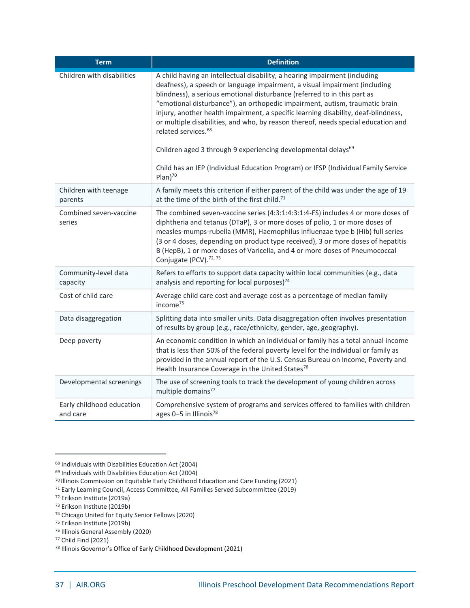| <b>Term</b>                           | <b>Definition</b>                                                                                                                                                                                                                                                                                                                                                                                                                                                                                                                                                                                                                                                                                                          |
|---------------------------------------|----------------------------------------------------------------------------------------------------------------------------------------------------------------------------------------------------------------------------------------------------------------------------------------------------------------------------------------------------------------------------------------------------------------------------------------------------------------------------------------------------------------------------------------------------------------------------------------------------------------------------------------------------------------------------------------------------------------------------|
| Children with disabilities            | A child having an intellectual disability, a hearing impairment (including<br>deafness), a speech or language impairment, a visual impairment (including<br>blindness), a serious emotional disturbance (referred to in this part as<br>"emotional disturbance"), an orthopedic impairment, autism, traumatic brain<br>injury, another health impairment, a specific learning disability, deaf-blindness,<br>or multiple disabilities, and who, by reason thereof, needs special education and<br>related services. <sup>68</sup><br>Children aged 3 through 9 experiencing developmental delays <sup>69</sup><br>Child has an IEP (Individual Education Program) or IFSP (Individual Family Service<br>Plan <sup>70</sup> |
| Children with teenage<br>parents      | A family meets this criterion if either parent of the child was under the age of 19<br>at the time of the birth of the first child. <sup>71</sup>                                                                                                                                                                                                                                                                                                                                                                                                                                                                                                                                                                          |
| Combined seven-vaccine<br>series      | The combined seven-vaccine series (4:3:1:4:3:1:4-FS) includes 4 or more doses of<br>diphtheria and tetanus (DTaP), 3 or more doses of polio, 1 or more doses of<br>measles-mumps-rubella (MMR), Haemophilus influenzae type b (Hib) full series<br>(3 or 4 doses, depending on product type received), 3 or more doses of hepatitis<br>B (HepB), 1 or more doses of Varicella, and 4 or more doses of Pneumococcal<br>Conjugate (PCV). <sup>72,73</sup>                                                                                                                                                                                                                                                                    |
| Community-level data<br>capacity      | Refers to efforts to support data capacity within local communities (e.g., data<br>analysis and reporting for local purposes) <sup>74</sup>                                                                                                                                                                                                                                                                                                                                                                                                                                                                                                                                                                                |
| Cost of child care                    | Average child care cost and average cost as a percentage of median family<br>income <sup>75</sup>                                                                                                                                                                                                                                                                                                                                                                                                                                                                                                                                                                                                                          |
| Data disaggregation                   | Splitting data into smaller units. Data disaggregation often involves presentation<br>of results by group (e.g., race/ethnicity, gender, age, geography).                                                                                                                                                                                                                                                                                                                                                                                                                                                                                                                                                                  |
| Deep poverty                          | An economic condition in which an individual or family has a total annual income<br>that is less than 50% of the federal poverty level for the individual or family as<br>provided in the annual report of the U.S. Census Bureau on Income, Poverty and<br>Health Insurance Coverage in the United States <sup>76</sup>                                                                                                                                                                                                                                                                                                                                                                                                   |
| Developmental screenings              | The use of screening tools to track the development of young children across<br>multiple domains <sup>77</sup>                                                                                                                                                                                                                                                                                                                                                                                                                                                                                                                                                                                                             |
| Early childhood education<br>and care | Comprehensive system of programs and services offered to families with children<br>ages 0-5 in Illinois <sup>78</sup>                                                                                                                                                                                                                                                                                                                                                                                                                                                                                                                                                                                                      |

<sup>68</sup> Individuals with Disabilities Education Act (2004)

<sup>69</sup> Individuals with Disabilities Education Act (2004)

<sup>70</sup> Illinois Commission on Equitable Early Childhood Education and Care Funding (2021)

<sup>71</sup> Early Learning Council, Access Committee, All Families Served Subcommittee (2019)

<sup>72</sup> Erikson Institute (2019a)

<sup>73</sup> Erikson Institute (2019b)

<sup>74</sup> Chicago United for Equity Senior Fellows (2020)

<sup>75</sup> Erikson Institute (2019b)

<sup>76</sup> Illinois General Assembly (2020)

<sup>77</sup> Child Find (2021)

<sup>78</sup> Illinois Governor's Office of Early Childhood Development (2021)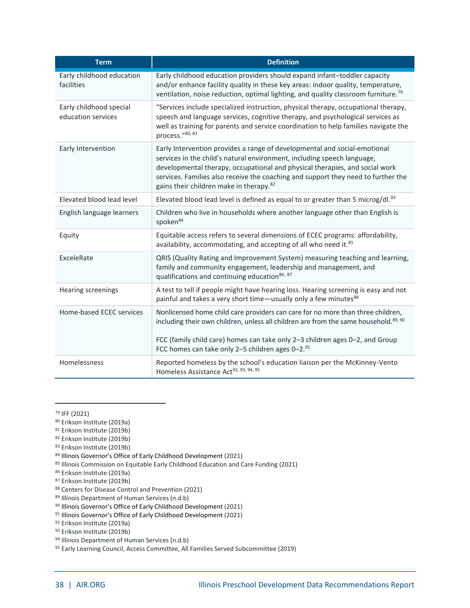| <b>Term</b>                                   | <b>Definition</b>                                                                                                                                                                                                                                                                                                                                                               |
|-----------------------------------------------|---------------------------------------------------------------------------------------------------------------------------------------------------------------------------------------------------------------------------------------------------------------------------------------------------------------------------------------------------------------------------------|
| Early childhood education<br>facilities       | Early childhood education providers should expand infant-toddler capacity<br>and/or enhance facility quality in these key areas: indoor quality, temperature,<br>ventilation, noise reduction, optimal lighting, and quality classroom furniture. <sup>79</sup>                                                                                                                 |
| Early childhood special<br>education services | "Services include specialized instruction, physical therapy, occupational therapy,<br>speech and language services, cognitive therapy, and psychological services as<br>well as training for parents and service coordination to help families navigate the<br>process."80, 81                                                                                                  |
| Early Intervention                            | Early Intervention provides a range of developmental and social-emotional<br>services in the child's natural environment, including speech language,<br>developmental therapy, occupational and physical therapies, and social work<br>services. Families also receive the coaching and support they need to further the<br>gains their children make in therapy. <sup>82</sup> |
| Elevated blood lead level                     | Elevated blood lead level is defined as equal to or greater than 5 microg/dl. <sup>83</sup>                                                                                                                                                                                                                                                                                     |
| English language learners                     | Children who live in households where another language other than English is<br>spoken <sup>84</sup>                                                                                                                                                                                                                                                                            |
| Equity                                        | Equitable access refers to several dimensions of ECEC programs: affordability,<br>availability, accommodating, and accepting of all who need it. <sup>85</sup>                                                                                                                                                                                                                  |
| ExceleRate                                    | QRIS (Quality Rating and Improvement System) measuring teaching and learning,<br>family and community engagement, leadership and management, and<br>qualifications and continuing education <sup>86, 87</sup>                                                                                                                                                                   |
| Hearing screenings                            | A test to tell if people might have hearing loss. Hearing screening is easy and not<br>painful and takes a very short time-usually only a few minutes <sup>88</sup>                                                                                                                                                                                                             |
| Home-based ECEC services                      | Nonlicensed home child care providers can care for no more than three children,<br>including their own children, unless all children are from the same household. <sup>89, 90</sup><br>FCC (family child care) homes can take only 2-3 children ages 0-2, and Group<br>FCC homes can take only 2-5 children ages 0-2.91                                                         |
| Homelessness                                  | Reported homeless by the school's education liaison per the McKinney-Vento<br>Homeless Assistance Act <sup>92, 93, 94, 95</sup>                                                                                                                                                                                                                                                 |

- <sup>81</sup> Erikson Institute (2019b)
- <sup>82</sup> Erikson Institute (2019b)
- <sup>83</sup> Erikson Institute (2019b)

- 85 Illinois Commission on Equitable Early Childhood Education and Care Funding (2021)
- <sup>86</sup> Erikson Institute (2019a)
- <sup>87</sup> Erikson Institute (2019b)
- 88 Centers for Disease Control and Prevention (2021)
- 89 Illinois Department of Human Services (n.d.b)
- 90 Illinois Governor's Office of Early Childhood Development (2021)
- 91 Illinois Governor's Office of Early Childhood Development (2021)
- <sup>92</sup> Erikson Institute (2019a)
- <sup>93</sup> Erikson Institute (2019b)
- <sup>94</sup> Illinois Department of Human Services (n.d.b)

<sup>79</sup> IFF (2021)

<sup>80</sup> Erikson Institute (2019a)

<sup>84</sup> Illinois Governor's Office of Early Childhood Development (2021)

<sup>95</sup> Early Learning Council, Access Committee, All Families Served Subcommittee (2019)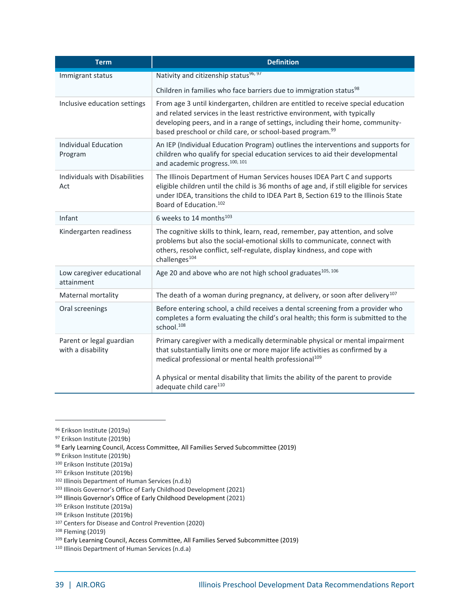| <b>Term</b>                                   | <b>Definition</b>                                                                                                                                                                                                                                                                                                         |  |  |  |  |
|-----------------------------------------------|---------------------------------------------------------------------------------------------------------------------------------------------------------------------------------------------------------------------------------------------------------------------------------------------------------------------------|--|--|--|--|
| Immigrant status                              | Nativity and citizenship status <sup>96, 97</sup>                                                                                                                                                                                                                                                                         |  |  |  |  |
|                                               | Children in families who face barriers due to immigration status <sup>98</sup>                                                                                                                                                                                                                                            |  |  |  |  |
| Inclusive education settings                  | From age 3 until kindergarten, children are entitled to receive special education<br>and related services in the least restrictive environment, with typically<br>developing peers, and in a range of settings, including their home, community-<br>based preschool or child care, or school-based program. <sup>99</sup> |  |  |  |  |
| Individual Education<br>Program               | An IEP (Individual Education Program) outlines the interventions and supports for<br>children who qualify for special education services to aid their developmental<br>and academic progress. <sup>100, 101</sup>                                                                                                         |  |  |  |  |
| Individuals with Disabilities<br>Act          | The Illinois Department of Human Services houses IDEA Part C and supports<br>eligible children until the child is 36 months of age and, if still eligible for services<br>under IDEA, transitions the child to IDEA Part B, Section 619 to the Illinois State<br>Board of Education. <sup>102</sup>                       |  |  |  |  |
| Infant                                        | 6 weeks to 14 months <sup>103</sup>                                                                                                                                                                                                                                                                                       |  |  |  |  |
| Kindergarten readiness                        | The cognitive skills to think, learn, read, remember, pay attention, and solve<br>problems but also the social-emotional skills to communicate, connect with<br>others, resolve conflict, self-regulate, display kindness, and cope with<br>challenges <sup>104</sup>                                                     |  |  |  |  |
| Low caregiver educational<br>attainment       | Age 20 and above who are not high school graduates <sup>105, 106</sup>                                                                                                                                                                                                                                                    |  |  |  |  |
| Maternal mortality                            | The death of a woman during pregnancy, at delivery, or soon after delivery <sup>107</sup>                                                                                                                                                                                                                                 |  |  |  |  |
| Oral screenings                               | Before entering school, a child receives a dental screening from a provider who<br>completes a form evaluating the child's oral health; this form is submitted to the<br>school. <sup>108</sup>                                                                                                                           |  |  |  |  |
| Parent or legal guardian<br>with a disability | Primary caregiver with a medically determinable physical or mental impairment<br>that substantially limits one or more major life activities as confirmed by a<br>medical professional or mental health professional <sup>109</sup>                                                                                       |  |  |  |  |
|                                               | A physical or mental disability that limits the ability of the parent to provide<br>adequate child care <sup>110</sup>                                                                                                                                                                                                    |  |  |  |  |

<sup>102</sup> Illinois Department of Human Services (n.d.b)

<sup>96</sup> Erikson Institute (2019a)

<sup>97</sup> Erikson Institute (2019b)

<sup>98</sup> Early Learning Council, Access Committee, All Families Served Subcommittee (2019)

<sup>99</sup> Erikson Institute (2019b)

<sup>100</sup> Erikson Institute (2019a)

<sup>101</sup> Erikson Institute (2019b)

<sup>103</sup> Illinois Governor's Office of Early Childhood Development (2021)

<sup>104</sup> Illinois Governor's Office of Early Childhood Development (2021)

<sup>105</sup> Erikson Institute (2019a)

<sup>106</sup> Erikson Institute (2019b)

<sup>107</sup> Centers for Disease and Control Prevention (2020)

<sup>108</sup> Fleming (2019)

<sup>109</sup> Early Learning Council, Access Committee, All Families Served Subcommittee (2019)

<sup>110</sup> Illinois Department of Human Services (n.d.a)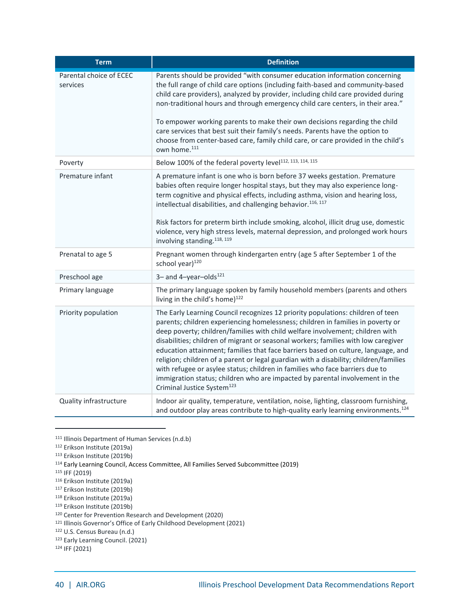| <b>Term</b>                         | <b>Definition</b>                                                                                                                                                                                                                                                                                                                                                                                                                                                                                                                                                                                                                                                                                                                 |
|-------------------------------------|-----------------------------------------------------------------------------------------------------------------------------------------------------------------------------------------------------------------------------------------------------------------------------------------------------------------------------------------------------------------------------------------------------------------------------------------------------------------------------------------------------------------------------------------------------------------------------------------------------------------------------------------------------------------------------------------------------------------------------------|
| Parental choice of ECEC<br>services | Parents should be provided "with consumer education information concerning<br>the full range of child care options (including faith-based and community-based<br>child care providers), analyzed by provider, including child care provided during<br>non-traditional hours and through emergency child care centers, in their area."<br>To empower working parents to make their own decisions regarding the child<br>care services that best suit their family's needs. Parents have the option to<br>choose from center-based care, family child care, or care provided in the child's<br>own home. <sup>111</sup>                                                                                                             |
| Poverty                             | Below 100% of the federal poverty level <sup>112, 113, 114, 115</sup>                                                                                                                                                                                                                                                                                                                                                                                                                                                                                                                                                                                                                                                             |
| Premature infant                    | A premature infant is one who is born before 37 weeks gestation. Premature<br>babies often require longer hospital stays, but they may also experience long-<br>term cognitive and physical effects, including asthma, vision and hearing loss,<br>intellectual disabilities, and challenging behavior. <sup>116, 117</sup><br>Risk factors for preterm birth include smoking, alcohol, illicit drug use, domestic<br>violence, very high stress levels, maternal depression, and prolonged work hours<br>involving standing. <sup>118, 119</sup>                                                                                                                                                                                 |
| Prenatal to age 5                   | Pregnant women through kindergarten entry (age 5 after September 1 of the<br>school year) <sup>120</sup>                                                                                                                                                                                                                                                                                                                                                                                                                                                                                                                                                                                                                          |
| Preschool age                       | 3- and 4-year-olds $^{121}$                                                                                                                                                                                                                                                                                                                                                                                                                                                                                                                                                                                                                                                                                                       |
| Primary language                    | The primary language spoken by family household members (parents and others<br>living in the child's home) <sup>122</sup>                                                                                                                                                                                                                                                                                                                                                                                                                                                                                                                                                                                                         |
| Priority population                 | The Early Learning Council recognizes 12 priority populations: children of teen<br>parents; children experiencing homelessness; children in families in poverty or<br>deep poverty; children/families with child welfare involvement; children with<br>disabilities; children of migrant or seasonal workers; families with low caregiver<br>education attainment; families that face barriers based on culture, language, and<br>religion; children of a parent or legal guardian with a disability; children/families<br>with refugee or asylee status; children in families who face barriers due to<br>immigration status; children who are impacted by parental involvement in the<br>Criminal Justice System <sup>123</sup> |
| Quality infrastructure              | Indoor air quality, temperature, ventilation, noise, lighting, classroom furnishing,<br>and outdoor play areas contribute to high-quality early learning environments. <sup>124</sup>                                                                                                                                                                                                                                                                                                                                                                                                                                                                                                                                             |

<sup>111</sup> Illinois Department of Human Services (n.d.b)

<sup>115</sup> IFF (2019)

<sup>119</sup> Erikson Institute (2019b)

<sup>112</sup> Erikson Institute (2019a)

<sup>113</sup> Erikson Institute (2019b)

<sup>114</sup> Early Learning Council, Access Committee, All Families Served Subcommittee (2019)

<sup>116</sup> Erikson Institute (2019a)

<sup>117</sup> Erikson Institute (2019b)

<sup>118</sup> Erikson Institute (2019a)

<sup>120</sup> Center for Prevention Research and Development (2020)

<sup>121</sup> Illinois Governor's Office of Early Childhood Development (2021)

<sup>122</sup> U.S. Census Bureau (n.d.)

<sup>123</sup> Early Learning Council. (2021)

<sup>124</sup> IFF (2021)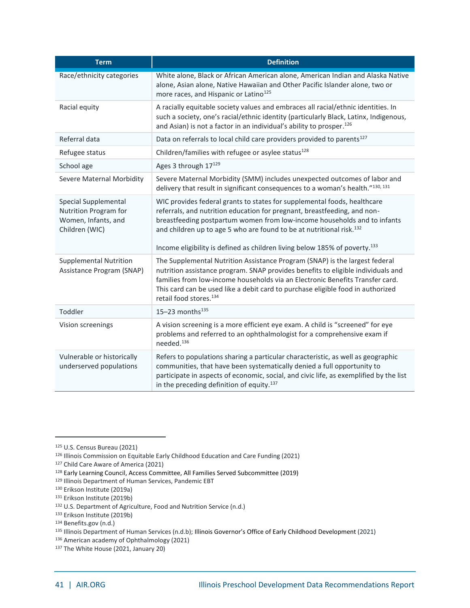| <b>Term</b>                                                                            | <b>Definition</b>                                                                                                                                                                                                                                                                                                                                                                                              |  |  |
|----------------------------------------------------------------------------------------|----------------------------------------------------------------------------------------------------------------------------------------------------------------------------------------------------------------------------------------------------------------------------------------------------------------------------------------------------------------------------------------------------------------|--|--|
| Race/ethnicity categories                                                              | White alone, Black or African American alone, American Indian and Alaska Native<br>alone, Asian alone, Native Hawaiian and Other Pacific Islander alone, two or<br>more races, and Hispanic or Latino <sup>125</sup>                                                                                                                                                                                           |  |  |
| Racial equity                                                                          | A racially equitable society values and embraces all racial/ethnic identities. In<br>such a society, one's racial/ethnic identity (particularly Black, Latinx, Indigenous,<br>and Asian) is not a factor in an individual's ability to prosper. <sup>126</sup>                                                                                                                                                 |  |  |
| Referral data                                                                          | Data on referrals to local child care providers provided to parents <sup>127</sup>                                                                                                                                                                                                                                                                                                                             |  |  |
| Refugee status                                                                         | Children/families with refugee or asylee status <sup>128</sup>                                                                                                                                                                                                                                                                                                                                                 |  |  |
| School age                                                                             | Ages 3 through 17129                                                                                                                                                                                                                                                                                                                                                                                           |  |  |
| Severe Maternal Morbidity                                                              | Severe Maternal Morbidity (SMM) includes unexpected outcomes of labor and<br>delivery that result in significant consequences to a woman's health."130, 131                                                                                                                                                                                                                                                    |  |  |
| Special Supplemental<br>Nutrition Program for<br>Women, Infants, and<br>Children (WIC) | WIC provides federal grants to states for supplemental foods, healthcare<br>referrals, and nutrition education for pregnant, breastfeeding, and non-<br>breastfeeding postpartum women from low-income households and to infants<br>and children up to age 5 who are found to be at nutritional risk. <sup>132</sup><br>Income eligibility is defined as children living below 185% of poverty. <sup>133</sup> |  |  |
| <b>Supplemental Nutrition</b><br>Assistance Program (SNAP)                             | The Supplemental Nutrition Assistance Program (SNAP) is the largest federal<br>nutrition assistance program. SNAP provides benefits to eligible individuals and<br>families from low-income households via an Electronic Benefits Transfer card.<br>This card can be used like a debit card to purchase eligible food in authorized<br>retail food stores. <sup>134</sup>                                      |  |  |
| Toddler                                                                                | 15-23 months $^{135}$                                                                                                                                                                                                                                                                                                                                                                                          |  |  |
| Vision screenings                                                                      | A vision screening is a more efficient eye exam. A child is "screened" for eye<br>problems and referred to an ophthalmologist for a comprehensive exam if<br>needed. <sup>136</sup>                                                                                                                                                                                                                            |  |  |
| Vulnerable or historically<br>underserved populations                                  | Refers to populations sharing a particular characteristic, as well as geographic<br>communities, that have been systematically denied a full opportunity to<br>participate in aspects of economic, social, and civic life, as exemplified by the list<br>in the preceding definition of equity. <sup>137</sup>                                                                                                 |  |  |

<sup>125</sup> U.S. Census Bureau (2021)

<sup>126</sup> Illinois Commission on Equitable Early Childhood Education and Care Funding (2021)

<sup>127</sup> Child Care Aware of America (2021)

<sup>128</sup> Early Learning Council, Access Committee, All Families Served Subcommittee (2019)

<sup>129</sup> Illinois Department of Human Services, Pandemic EBT

<sup>130</sup> Erikson Institute (2019a)

<sup>131</sup> Erikson Institute (2019b)

<sup>132</sup> U.S. Department of Agriculture, Food and Nutrition Service (n.d.)

<sup>133</sup> Erikson Institute (2019b)

<sup>134</sup> Benefits.gov (n.d.)

<sup>135</sup> Illinois Department of Human Services (n.d.b); Illinois Governor's Office of Early Childhood Development (2021)

<sup>136</sup> American academy of Ophthalmology (2021)

<sup>137</sup> The White House (2021, January 20)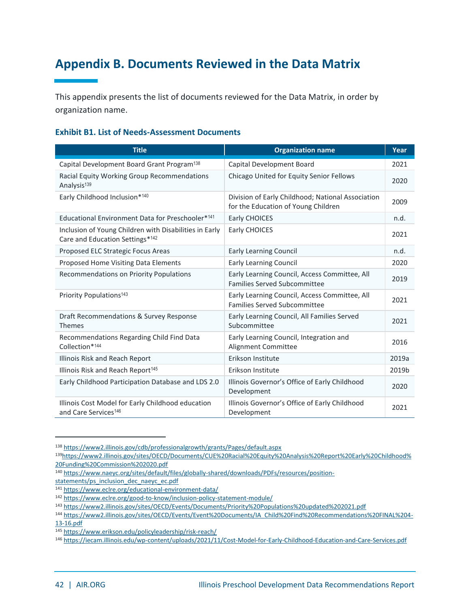### <span id="page-42-0"></span>**Appendix B. Documents Reviewed in the Data Matrix**

This appendix presents the list of documents reviewed for the Data Matrix, in order by organization name.

#### **Exhibit B1. List of Needs-Assessment Documents**

| <b>Title</b>                                                                              | <b>Organization name</b>                                                                 | Year  |
|-------------------------------------------------------------------------------------------|------------------------------------------------------------------------------------------|-------|
| Capital Development Board Grant Program <sup>138</sup>                                    | Capital Development Board                                                                | 2021  |
| Racial Equity Working Group Recommendations<br>Analysis <sup>139</sup>                    | Chicago United for Equity Senior Fellows                                                 | 2020  |
| Early Childhood Inclusion*140                                                             | Division of Early Childhood; National Association<br>for the Education of Young Children | 2009  |
| Educational Environment Data for Preschooler* <sup>141</sup>                              | Early CHOICES                                                                            | n.d.  |
| Inclusion of Young Children with Disabilities in Early<br>Care and Education Settings*142 | Early CHOICES                                                                            | 2021  |
| Proposed ELC Strategic Focus Areas                                                        | <b>Early Learning Council</b>                                                            | n.d.  |
| Proposed Home Visiting Data Elements                                                      | <b>Early Learning Council</b>                                                            | 2020  |
| Recommendations on Priority Populations                                                   | Early Learning Council, Access Committee, All<br><b>Families Served Subcommittee</b>     | 2019  |
| Priority Populations <sup>143</sup>                                                       | Early Learning Council, Access Committee, All<br><b>Families Served Subcommittee</b>     | 2021  |
| Draft Recommendations & Survey Response<br><b>Themes</b>                                  | Early Learning Council, All Families Served<br>Subcommittee                              | 2021  |
| Recommendations Regarding Child Find Data<br>Collection*144                               | Early Learning Council, Integration and<br>Alignment Committee                           | 2016  |
| Illinois Risk and Reach Report                                                            | Erikson Institute                                                                        | 2019a |
| Illinois Risk and Reach Report <sup>145</sup>                                             | Erikson Institute                                                                        | 2019b |
| Early Childhood Participation Database and LDS 2.0                                        | Illinois Governor's Office of Early Childhood<br>Development                             | 2020  |
| Illinois Cost Model for Early Childhood education<br>and Care Services <sup>146</sup>     | Illinois Governor's Office of Early Childhood<br>Development                             | 2021  |

<sup>138</sup> <https://www2.illinois.gov/cdb/professionalgrowth/grants/Pages/default.aspx>

<sup>139</sup>[https://www2.illinois.gov/sites/OECD/Documents/CUE%20Racial%20Equity%20Analysis%20Report%20Early%20Childhood%](https://www2.illinois.gov/sites/OECD/Documents/CUE%20Racial%20Equity%20Analysis%20Report%20Early%20Childhood%20Funding%20Commission%202020.pdf) [20Funding%20Commission%202020.pdf](https://www2.illinois.gov/sites/OECD/Documents/CUE%20Racial%20Equity%20Analysis%20Report%20Early%20Childhood%20Funding%20Commission%202020.pdf)

<sup>140</sup> [https://www.naeyc.org/sites/default/files/globally-shared/downloads/PDFs/resources/position-](https://www.naeyc.org/sites/default/files/globally-shared/downloads/PDFs/resources/position-statements/ps_inclusion_dec_naeyc_ec.pdf)

[statements/ps\\_inclusion\\_dec\\_naeyc\\_ec.pdf](https://www.naeyc.org/sites/default/files/globally-shared/downloads/PDFs/resources/position-statements/ps_inclusion_dec_naeyc_ec.pdf)

<sup>141</sup> <https://www.eclre.org/educational-environment-data/>

<sup>142</sup> <https://www.eclre.org/good-to-know/inclusion-policy-statement-module/>

<sup>143</sup> <https://www2.illinois.gov/sites/OECD/Events/Documents/Priority%20Populations%20updated%202021.pdf>

<sup>144</sup> [https://www2.illinois.gov/sites/OECD/Events/Event%20Documents/IA\\_Child%20Find%20Recommendations%20FINAL%204-](https://www2.illinois.gov/sites/OECD/Events/Event%20Documents/IA_Child%20Find%20Recommendations%20FINAL%204-13-16.pdf)

[<sup>13-16.</sup>pdf](https://www2.illinois.gov/sites/OECD/Events/Event%20Documents/IA_Child%20Find%20Recommendations%20FINAL%204-13-16.pdf)

<sup>145</sup> <https://www.erikson.edu/policyleadership/risk-reach/>

<sup>146</sup> <https://iecam.illinois.edu/wp-content/uploads/2021/11/Cost-Model-for-Early-Childhood-Education-and-Care-Services.pdf>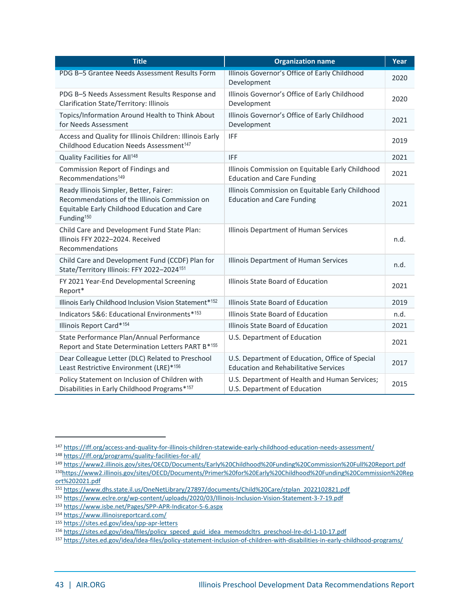| <b>Title</b>                                                                                                                                                       | <b>Organization name</b>                                                                        | Year |
|--------------------------------------------------------------------------------------------------------------------------------------------------------------------|-------------------------------------------------------------------------------------------------|------|
| PDG B-5 Grantee Needs Assessment Results Form                                                                                                                      | Illinois Governor's Office of Early Childhood<br>Development                                    | 2020 |
| PDG B-5 Needs Assessment Results Response and<br>Clarification State/Territory: Illinois                                                                           | Illinois Governor's Office of Early Childhood<br>Development                                    | 2020 |
| Topics/Information Around Health to Think About<br>for Needs Assessment                                                                                            | Illinois Governor's Office of Early Childhood<br>Development                                    | 2021 |
| Access and Quality for Illinois Children: Illinois Early<br>Childhood Education Needs Assessment <sup>147</sup>                                                    | <b>IFF</b>                                                                                      | 2019 |
| Quality Facilities for All <sup>148</sup>                                                                                                                          | <b>IFF</b>                                                                                      | 2021 |
| Commission Report of Findings and<br>Recommendations <sup>149</sup>                                                                                                | Illinois Commission on Equitable Early Childhood<br><b>Education and Care Funding</b>           | 2021 |
| Ready Illinois Simpler, Better, Fairer:<br>Recommendations of the Illinois Commission on<br>Equitable Early Childhood Education and Care<br>Funding <sup>150</sup> | Illinois Commission on Equitable Early Childhood<br><b>Education and Care Funding</b>           | 2021 |
| Child Care and Development Fund State Plan:<br>Illinois FFY 2022-2024. Received<br>Recommendations                                                                 | Illinois Department of Human Services                                                           | n.d. |
| Child Care and Development Fund (CCDF) Plan for<br>State/Territory Illinois: FFY 2022-2024 <sup>151</sup>                                                          | Illinois Department of Human Services                                                           | n.d. |
| FY 2021 Year-End Developmental Screening<br>Report*                                                                                                                | Illinois State Board of Education                                                               | 2021 |
| Illinois Early Childhood Inclusion Vision Statement*152                                                                                                            | Illinois State Board of Education                                                               | 2019 |
| Indicators 5&6: Educational Environments*153                                                                                                                       | Illinois State Board of Education                                                               | n.d. |
| Illinois Report Card*154                                                                                                                                           | Illinois State Board of Education                                                               | 2021 |
| State Performance Plan/Annual Performance<br>Report and State Determination Letters PART B*155                                                                     | U.S. Department of Education                                                                    | 2021 |
| Dear Colleague Letter (DLC) Related to Preschool<br>Least Restrictive Environment (LRE)*156                                                                        | U.S. Department of Education, Office of Special<br><b>Education and Rehabilitative Services</b> | 2017 |
| Policy Statement on Inclusion of Children with<br>Disabilities in Early Childhood Programs*157                                                                     | U.S. Department of Health and Human Services;<br>U.S. Department of Education                   | 2015 |

<sup>147</sup> <https://iff.org/access-and-quality-for-illinois-children-statewide-early-childhood-education-needs-assessment/>

<sup>148</sup> <https://iff.org/programs/quality-facilities-for-all/>

<sup>149</sup> <https://www2.illinois.gov/sites/OECD/Documents/Early%20Childhood%20Funding%20Commission%20Full%20Report.pdf>

<sup>150</sup>[https://www2.illinois.gov/sites/OECD/Documents/Primer%20for%20Early%20Childhood%20Funding%20Commission%20Rep](https://www2.illinois.gov/sites/OECD/Documents/Primer%20for%20Early%20Childhood%20Funding%20Commission%20Report%202021.pdf) [ort%202021.pdf](https://www2.illinois.gov/sites/OECD/Documents/Primer%20for%20Early%20Childhood%20Funding%20Commission%20Report%202021.pdf)

<sup>151</sup> [https://www.dhs.state.il.us/OneNetLibrary/27897/documents/Child%20Care/stplan\\_2022102821.pdf](https://www.dhs.state.il.us/OneNetLibrary/27897/documents/Child%20Care/stplan_2022102821.pdf)

<sup>152</sup> <https://www.eclre.org/wp-content/uploads/2020/03/Illinois-Inclusion-Vision-Statement-3-7-19.pdf>

<sup>153</sup> <https://www.isbe.net/Pages/SPP-APR-Indicator-5-6.aspx>

<sup>154</sup> <https://www.illinoisreportcard.com/>

<sup>155</sup> <https://sites.ed.gov/idea/spp-apr-letters>

<sup>&</sup>lt;sup>156</sup> [https://sites.ed.gov/idea/files/policy\\_speced\\_guid\\_idea\\_memosdcltrs\\_preschool-lre-dcl-1-10-17.pdf](https://sites.ed.gov/idea/files/policy_speced_guid_idea_memosdcltrs_preschool-lre-dcl-1-10-17.pdf)

<sup>157</sup> <https://sites.ed.gov/idea/idea-files/policy-statement-inclusion-of-children-with-disabilities-in-early-childhood-programs/>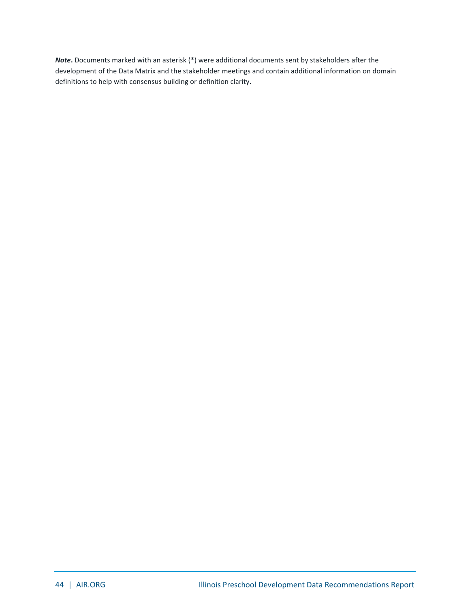*Note***.** Documents marked with an asterisk (\*) were additional documents sent by stakeholders after the development of the Data Matrix and the stakeholder meetings and contain additional information on domain definitions to help with consensus building or definition clarity.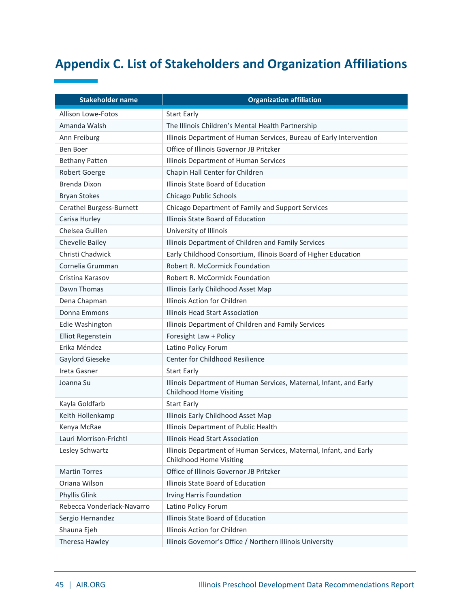### <span id="page-45-0"></span>**Appendix C. List of Stakeholders and Organization Affiliations**

| <b>Stakeholder name</b>    | <b>Organization affiliation</b>                                                                      |  |
|----------------------------|------------------------------------------------------------------------------------------------------|--|
| <b>Allison Lowe-Fotos</b>  | <b>Start Early</b>                                                                                   |  |
| Amanda Walsh               | The Illinois Children's Mental Health Partnership                                                    |  |
| Ann Freiburg               | Illinois Department of Human Services, Bureau of Early Intervention                                  |  |
| Ben Boer                   | Office of Illinois Governor JB Pritzker                                                              |  |
| <b>Bethany Patten</b>      | Illinois Department of Human Services                                                                |  |
| Robert Goerge              | Chapin Hall Center for Children                                                                      |  |
| Brenda Dixon               | Illinois State Board of Education                                                                    |  |
| <b>Bryan Stokes</b>        | Chicago Public Schools                                                                               |  |
| Cerathel Burgess-Burnett   | Chicago Department of Family and Support Services                                                    |  |
| Carisa Hurley              | Illinois State Board of Education                                                                    |  |
| Chelsea Guillen            | University of Illinois                                                                               |  |
| Chevelle Bailey            | Illinois Department of Children and Family Services                                                  |  |
| Christi Chadwick           | Early Childhood Consortium, Illinois Board of Higher Education                                       |  |
| Cornelia Grumman           | Robert R. McCormick Foundation                                                                       |  |
| Cristina Karasov           | <b>Robert R. McCormick Foundation</b>                                                                |  |
| Dawn Thomas                | Illinois Early Childhood Asset Map                                                                   |  |
| Dena Chapman               | Illinois Action for Children                                                                         |  |
| Donna Emmons               | Illinois Head Start Association                                                                      |  |
| Edie Washington            | Illinois Department of Children and Family Services                                                  |  |
| <b>Elliot Regenstein</b>   | Foresight Law + Policy                                                                               |  |
| Erika Méndez               | Latino Policy Forum                                                                                  |  |
| Gaylord Gieseke            | Center for Childhood Resilience                                                                      |  |
| Ireta Gasner               | <b>Start Early</b>                                                                                   |  |
| Joanna Su                  | Illinois Department of Human Services, Maternal, Infant, and Early<br><b>Childhood Home Visiting</b> |  |
| Kayla Goldfarb             | <b>Start Early</b>                                                                                   |  |
| Keith Hollenkamp           | Illinois Early Childhood Asset Map                                                                   |  |
| Kenya McRae                | Illinois Department of Public Health                                                                 |  |
| Lauri Morrison-Frichtl     | Illinois Head Start Association                                                                      |  |
| Lesley Schwartz            | Illinois Department of Human Services, Maternal, Infant, and Early<br>Childhood Home Visiting        |  |
| <b>Martin Torres</b>       | Office of Illinois Governor JB Pritzker                                                              |  |
| Oriana Wilson              | Illinois State Board of Education                                                                    |  |
| Phyllis Glink              | Irving Harris Foundation                                                                             |  |
| Rebecca Vonderlack-Navarro | Latino Policy Forum                                                                                  |  |
| Sergio Hernandez           | Illinois State Board of Education                                                                    |  |
| Shauna Ejeh                | Illinois Action for Children                                                                         |  |
| Theresa Hawley             | Illinois Governor's Office / Northern Illinois University                                            |  |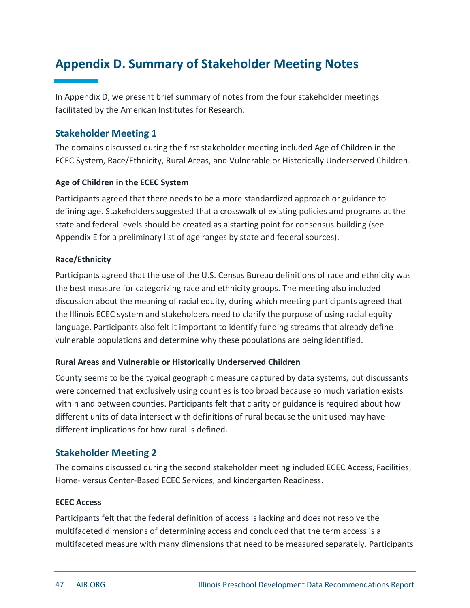### <span id="page-47-0"></span>**Appendix D. Summary of Stakeholder Meeting Notes**

In Appendix D, we present brief summary of notes from the four stakeholder meetings facilitated by the American Institutes for Research.

#### **Stakeholder Meeting 1**

The domains discussed during the first stakeholder meeting included Age of Children in the ECEC System, Race/Ethnicity, Rural Areas, and Vulnerable or Historically Underserved Children.

#### **Age of Children in the ECEC System**

Participants agreed that there needs to be a more standardized approach or guidance to defining age. Stakeholders suggested that a crosswalk of existing policies and programs at the state and federal levels should be created as a starting point for consensus building (see Appendix E for a preliminary list of age ranges by state and federal sources).

#### **Race/Ethnicity**

Participants agreed that the use of the U.S. Census Bureau definitions of race and ethnicity was the best measure for categorizing race and ethnicity groups. The meeting also included discussion about the meaning of racial equity, during which meeting participants agreed that the Illinois ECEC system and stakeholders need to clarify the purpose of using racial equity language. Participants also felt it important to identify funding streams that already define vulnerable populations and determine why these populations are being identified.

#### **Rural Areas and Vulnerable or Historically Underserved Children**

County seems to be the typical geographic measure captured by data systems, but discussants were concerned that exclusively using counties is too broad because so much variation exists within and between counties. Participants felt that clarity or guidance is required about how different units of data intersect with definitions of rural because the unit used may have different implications for how rural is defined.

#### **Stakeholder Meeting 2**

The domains discussed during the second stakeholder meeting included ECEC Access, Facilities, Home- versus Center-Based ECEC Services, and kindergarten Readiness.

#### **ECEC Access**

Participants felt that the federal definition of access is lacking and does not resolve the multifaceted dimensions of determining access and concluded that the term access is a multifaceted measure with many dimensions that need to be measured separately. Participants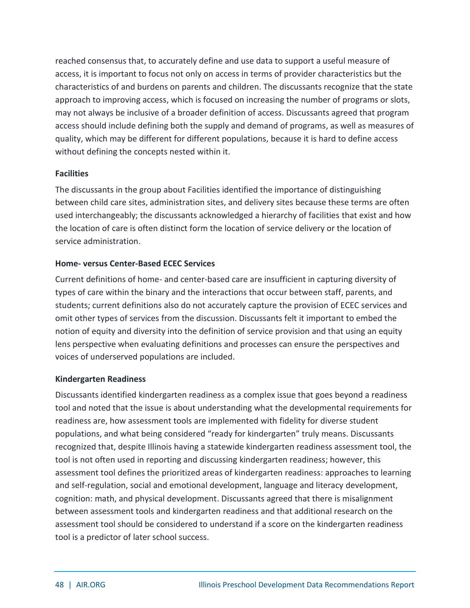reached consensus that, to accurately define and use data to support a useful measure of access, it is important to focus not only on access in terms of provider characteristics but the characteristics of and burdens on parents and children. The discussants recognize that the state approach to improving access, which is focused on increasing the number of programs or slots, may not always be inclusive of a broader definition of access. Discussants agreed that program access should include defining both the supply and demand of programs, as well as measures of quality, which may be different for different populations, because it is hard to define access without defining the concepts nested within it.

#### **Facilities**

The discussants in the group about Facilities identified the importance of distinguishing between child care sites, administration sites, and delivery sites because these terms are often used interchangeably; the discussants acknowledged a hierarchy of facilities that exist and how the location of care is often distinct form the location of service delivery or the location of service administration.

#### **Home- versus Center-Based ECEC Services**

Current definitions of home- and center-based care are insufficient in capturing diversity of types of care within the binary and the interactions that occur between staff, parents, and students; current definitions also do not accurately capture the provision of ECEC services and omit other types of services from the discussion. Discussants felt it important to embed the notion of equity and diversity into the definition of service provision and that using an equity lens perspective when evaluating definitions and processes can ensure the perspectives and voices of underserved populations are included.

#### **Kindergarten Readiness**

Discussants identified kindergarten readiness as a complex issue that goes beyond a readiness tool and noted that the issue is about understanding what the developmental requirements for readiness are, how assessment tools are implemented with fidelity for diverse student populations, and what being considered "ready for kindergarten" truly means. Discussants recognized that, despite Illinois having a statewide kindergarten readiness assessment tool, the tool is not often used in reporting and discussing kindergarten readiness; however, this assessment tool defines the prioritized areas of kindergarten readiness: approaches to learning and self-regulation, social and emotional development, language and literacy development, cognition: math, and physical development. Discussants agreed that there is misalignment between assessment tools and kindergarten readiness and that additional research on the assessment tool should be considered to understand if a score on the kindergarten readiness tool is a predictor of later school success.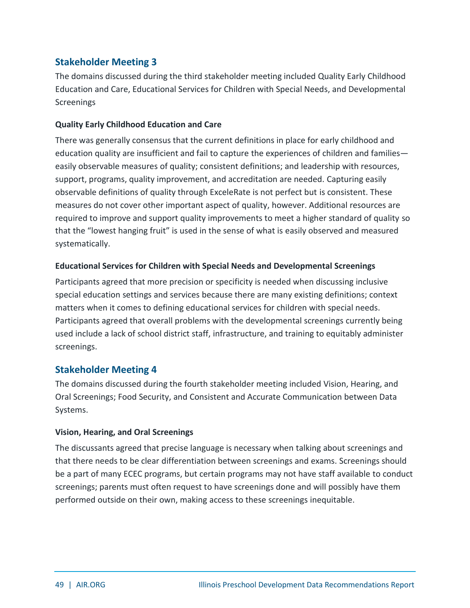#### **Stakeholder Meeting 3**

The domains discussed during the third stakeholder meeting included Quality Early Childhood Education and Care, Educational Services for Children with Special Needs, and Developmental **Screenings** 

#### **Quality Early Childhood Education and Care**

There was generally consensus that the current definitions in place for early childhood and education quality are insufficient and fail to capture the experiences of children and families easily observable measures of quality; consistent definitions; and leadership with resources, support, programs, quality improvement, and accreditation are needed. Capturing easily observable definitions of quality through ExceleRate is not perfect but is consistent. These measures do not cover other important aspect of quality, however. Additional resources are required to improve and support quality improvements to meet a higher standard of quality so that the "lowest hanging fruit" is used in the sense of what is easily observed and measured systematically.

#### **Educational Services for Children with Special Needs and Developmental Screenings**

Participants agreed that more precision or specificity is needed when discussing inclusive special education settings and services because there are many existing definitions; context matters when it comes to defining educational services for children with special needs. Participants agreed that overall problems with the developmental screenings currently being used include a lack of school district staff, infrastructure, and training to equitably administer screenings.

#### **Stakeholder Meeting 4**

The domains discussed during the fourth stakeholder meeting included Vision, Hearing, and Oral Screenings; Food Security, and Consistent and Accurate Communication between Data Systems.

#### **Vision, Hearing, and Oral Screenings**

The discussants agreed that precise language is necessary when talking about screenings and that there needs to be clear differentiation between screenings and exams. Screenings should be a part of many ECEC programs, but certain programs may not have staff available to conduct screenings; parents must often request to have screenings done and will possibly have them performed outside on their own, making access to these screenings inequitable.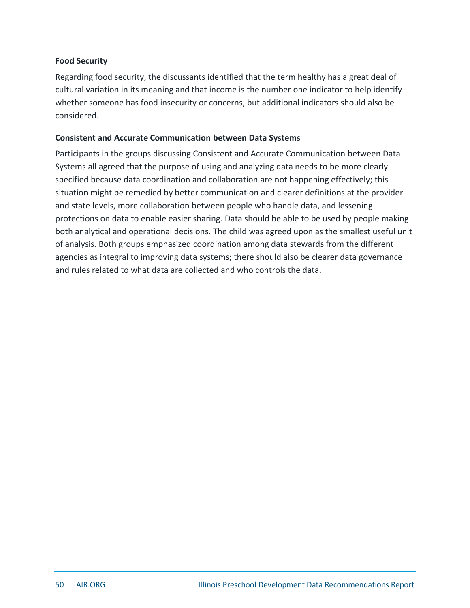#### **Food Security**

Regarding food security, the discussants identified that the term healthy has a great deal of cultural variation in its meaning and that income is the number one indicator to help identify whether someone has food insecurity or concerns, but additional indicators should also be considered.

#### **Consistent and Accurate Communication between Data Systems**

Participants in the groups discussing Consistent and Accurate Communication between Data Systems all agreed that the purpose of using and analyzing data needs to be more clearly specified because data coordination and collaboration are not happening effectively; this situation might be remedied by better communication and clearer definitions at the provider and state levels, more collaboration between people who handle data, and lessening protections on data to enable easier sharing. Data should be able to be used by people making both analytical and operational decisions. The child was agreed upon as the smallest useful unit of analysis. Both groups emphasized coordination among data stewards from the different agencies as integral to improving data systems; there should also be clearer data governance and rules related to what data are collected and who controls the data.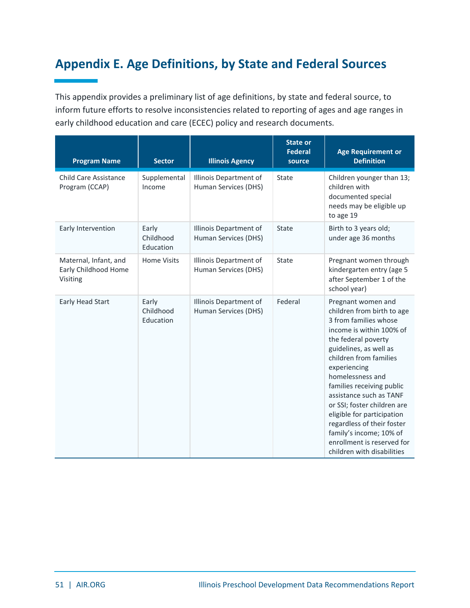### <span id="page-51-0"></span>**Appendix E. Age Definitions, by State and Federal Sources**

This appendix provides a preliminary list of age definitions, by state and federal source, to inform future efforts to resolve inconsistencies related to reporting of ages and age ranges in early childhood education and care (ECEC) policy and research documents.

| <b>Program Name</b>                                       | <b>Sector</b>                   | <b>Illinois Agency</b>                         | <b>State or</b><br><b>Federal</b><br>source | <b>Age Requirement or</b><br><b>Definition</b>                                                                                                                                                                                                                                                                                                                                                                                                                 |
|-----------------------------------------------------------|---------------------------------|------------------------------------------------|---------------------------------------------|----------------------------------------------------------------------------------------------------------------------------------------------------------------------------------------------------------------------------------------------------------------------------------------------------------------------------------------------------------------------------------------------------------------------------------------------------------------|
| <b>Child Care Assistance</b><br>Program (CCAP)            | Supplemental<br>Income          | Illinois Department of<br>Human Services (DHS) | State                                       | Children younger than 13;<br>children with<br>documented special<br>needs may be eligible up<br>to age 19                                                                                                                                                                                                                                                                                                                                                      |
| Early Intervention                                        | Early<br>Childhood<br>Education | Illinois Department of<br>Human Services (DHS) | State                                       | Birth to 3 years old;<br>under age 36 months                                                                                                                                                                                                                                                                                                                                                                                                                   |
| Maternal, Infant, and<br>Early Childhood Home<br>Visiting | <b>Home Visits</b>              | Illinois Department of<br>Human Services (DHS) | State                                       | Pregnant women through<br>kindergarten entry (age 5<br>after September 1 of the<br>school year)                                                                                                                                                                                                                                                                                                                                                                |
| Early Head Start                                          | Early<br>Childhood<br>Education | Illinois Department of<br>Human Services (DHS) | Federal                                     | Pregnant women and<br>children from birth to age<br>3 from families whose<br>income is within 100% of<br>the federal poverty<br>guidelines, as well as<br>children from families<br>experiencing<br>homelessness and<br>families receiving public<br>assistance such as TANF<br>or SSI; foster children are<br>eligible for participation<br>regardless of their foster<br>family's income; 10% of<br>enrollment is reserved for<br>children with disabilities |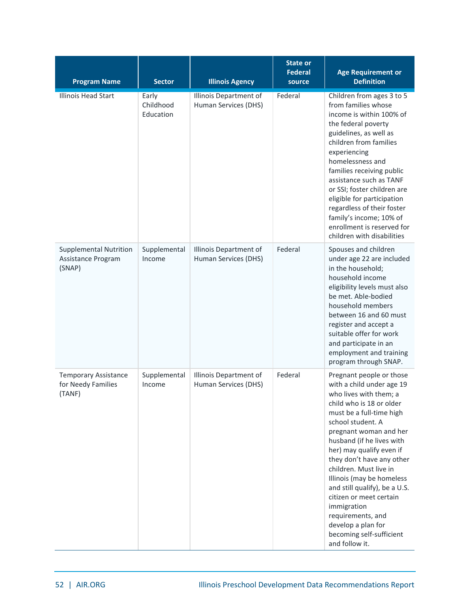| <b>Program Name</b>                                           | <b>Sector</b>                   | <b>Illinois Agency</b>                         | <b>State or</b><br><b>Federal</b><br>source | <b>Age Requirement or</b><br><b>Definition</b>                                                                                                                                                                                                                                                                                                                                                                                                                                                          |
|---------------------------------------------------------------|---------------------------------|------------------------------------------------|---------------------------------------------|---------------------------------------------------------------------------------------------------------------------------------------------------------------------------------------------------------------------------------------------------------------------------------------------------------------------------------------------------------------------------------------------------------------------------------------------------------------------------------------------------------|
| <b>Illinois Head Start</b>                                    | Early<br>Childhood<br>Education | Illinois Department of<br>Human Services (DHS) | Federal                                     | Children from ages 3 to 5<br>from families whose<br>income is within 100% of<br>the federal poverty<br>guidelines, as well as<br>children from families<br>experiencing<br>homelessness and<br>families receiving public<br>assistance such as TANF<br>or SSI; foster children are<br>eligible for participation<br>regardless of their foster<br>family's income; 10% of<br>enrollment is reserved for<br>children with disabilities                                                                   |
| <b>Supplemental Nutrition</b><br>Assistance Program<br>(SNAP) | Supplemental<br>Income          | Illinois Department of<br>Human Services (DHS) | Federal                                     | Spouses and children<br>under age 22 are included<br>in the household;<br>household income<br>eligibility levels must also<br>be met. Able-bodied<br>household members<br>between 16 and 60 must<br>register and accept a<br>suitable offer for work<br>and participate in an<br>employment and training<br>program through SNAP.                                                                                                                                                                       |
| <b>Temporary Assistance</b><br>for Needy Families<br>(TANF)   | Supplemental<br>Income          | Illinois Department of<br>Human Services (DHS) | Federal                                     | Pregnant people or those<br>with a child under age 19<br>who lives with them; a<br>child who is 18 or older<br>must be a full-time high<br>school student. A<br>pregnant woman and her<br>husband (if he lives with<br>her) may qualify even if<br>they don't have any other<br>children. Must live in<br>Illinois (may be homeless<br>and still qualify), be a U.S.<br>citizen or meet certain<br>immigration<br>requirements, and<br>develop a plan for<br>becoming self-sufficient<br>and follow it. |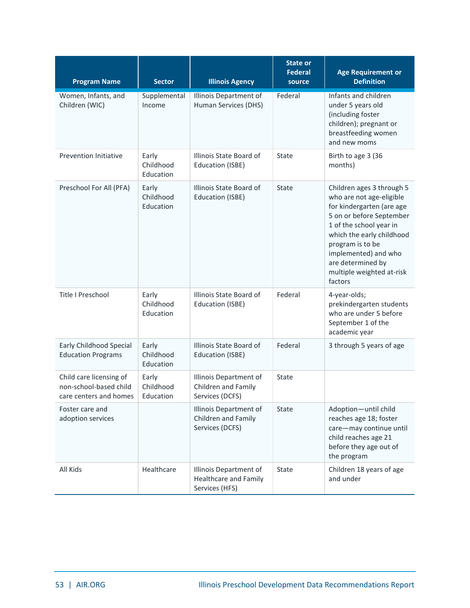| <b>Program Name</b>                                                         | <b>Sector</b>                   | <b>Illinois Agency</b>                                                   | <b>State or</b><br><b>Federal</b><br>source | <b>Age Requirement or</b><br><b>Definition</b>                                                                                                                                                                                                                                  |
|-----------------------------------------------------------------------------|---------------------------------|--------------------------------------------------------------------------|---------------------------------------------|---------------------------------------------------------------------------------------------------------------------------------------------------------------------------------------------------------------------------------------------------------------------------------|
| Women, Infants, and<br>Children (WIC)                                       | Supplemental<br>Income          | Illinois Department of<br>Human Services (DHS)                           | Federal                                     | Infants and children<br>under 5 years old<br>(including foster<br>children); pregnant or<br>breastfeeding women<br>and new moms                                                                                                                                                 |
| <b>Prevention Initiative</b>                                                | Early<br>Childhood<br>Education | Illinois State Board of<br>Education (ISBE)                              | State                                       | Birth to age 3 (36<br>months)                                                                                                                                                                                                                                                   |
| Preschool For All (PFA)                                                     | Early<br>Childhood<br>Education | Illinois State Board of<br>Education (ISBE)                              | <b>State</b>                                | Children ages 3 through 5<br>who are not age-eligible<br>for kindergarten (are age<br>5 on or before September<br>1 of the school year in<br>which the early childhood<br>program is to be<br>implemented) and who<br>are determined by<br>multiple weighted at-risk<br>factors |
| Title I Preschool                                                           | Early<br>Childhood<br>Education | Illinois State Board of<br>Education (ISBE)                              | Federal                                     | 4-year-olds;<br>prekindergarten students<br>who are under 5 before<br>September 1 of the<br>academic year                                                                                                                                                                       |
| Early Childhood Special<br><b>Education Programs</b>                        | Early<br>Childhood<br>Education | Illinois State Board of<br><b>Education (ISBE)</b>                       | Federal                                     | 3 through 5 years of age                                                                                                                                                                                                                                                        |
| Child care licensing of<br>non-school-based child<br>care centers and homes | Early<br>Childhood<br>Education | Illinois Department of<br>Children and Family<br>Services (DCFS)         | State                                       |                                                                                                                                                                                                                                                                                 |
| Foster care and<br>adoption services                                        |                                 | Illinois Department of<br>Children and Family<br>Services (DCFS)         | State                                       | Adoption-until child<br>reaches age 18; foster<br>care-may continue until<br>child reaches age 21<br>before they age out of<br>the program                                                                                                                                      |
| All Kids                                                                    | Healthcare                      | Illinois Department of<br><b>Healthcare and Family</b><br>Services (HFS) | State                                       | Children 18 years of age<br>and under                                                                                                                                                                                                                                           |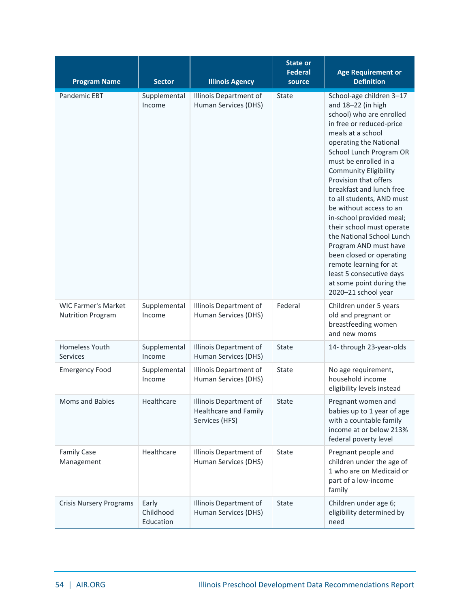| <b>Program Name</b>                                    | <b>Sector</b>                   | <b>Illinois Agency</b>                                            | <b>State or</b><br><b>Federal</b><br>source | <b>Age Requirement or</b><br><b>Definition</b>                                                                                                                                                                                                                                                                                                                                                                                                                                                                                                                                                             |
|--------------------------------------------------------|---------------------------------|-------------------------------------------------------------------|---------------------------------------------|------------------------------------------------------------------------------------------------------------------------------------------------------------------------------------------------------------------------------------------------------------------------------------------------------------------------------------------------------------------------------------------------------------------------------------------------------------------------------------------------------------------------------------------------------------------------------------------------------------|
| Pandemic EBT                                           | Supplemental<br>Income          | Illinois Department of<br>Human Services (DHS)                    | State                                       | School-age children 3-17<br>and 18-22 (in high<br>school) who are enrolled<br>in free or reduced-price<br>meals at a school<br>operating the National<br>School Lunch Program OR<br>must be enrolled in a<br><b>Community Eligibility</b><br>Provision that offers<br>breakfast and lunch free<br>to all students, AND must<br>be without access to an<br>in-school provided meal;<br>their school must operate<br>the National School Lunch<br>Program AND must have<br>been closed or operating<br>remote learning for at<br>least 5 consecutive days<br>at some point during the<br>2020-21 school year |
| <b>WIC Farmer's Market</b><br><b>Nutrition Program</b> | Supplemental<br>Income          | Illinois Department of<br>Human Services (DHS)                    | Federal                                     | Children under 5 years<br>old and pregnant or<br>breastfeeding women<br>and new moms                                                                                                                                                                                                                                                                                                                                                                                                                                                                                                                       |
| <b>Homeless Youth</b><br><b>Services</b>               | Supplemental<br>Income          | Illinois Department of<br>Human Services (DHS)                    | State                                       | 14- through 23-year-olds                                                                                                                                                                                                                                                                                                                                                                                                                                                                                                                                                                                   |
| <b>Emergency Food</b>                                  | Supplemental<br>Income          | Illinois Department of<br>Human Services (DHS)                    | State                                       | No age requirement,<br>household income<br>eligibility levels instead                                                                                                                                                                                                                                                                                                                                                                                                                                                                                                                                      |
| Moms and Babies                                        | Healthcare                      | Illinois Department of<br>Healthcare and Family<br>Services (HFS) | State                                       | Pregnant women and<br>babies up to 1 year of age<br>with a countable family<br>income at or below 213%<br>federal poverty level                                                                                                                                                                                                                                                                                                                                                                                                                                                                            |
| <b>Family Case</b><br>Management                       | Healthcare                      | Illinois Department of<br>Human Services (DHS)                    | State                                       | Pregnant people and<br>children under the age of<br>1 who are on Medicaid or<br>part of a low-income<br>family                                                                                                                                                                                                                                                                                                                                                                                                                                                                                             |
| <b>Crisis Nursery Programs</b>                         | Early<br>Childhood<br>Education | Illinois Department of<br>Human Services (DHS)                    | State                                       | Children under age 6;<br>eligibility determined by<br>need                                                                                                                                                                                                                                                                                                                                                                                                                                                                                                                                                 |